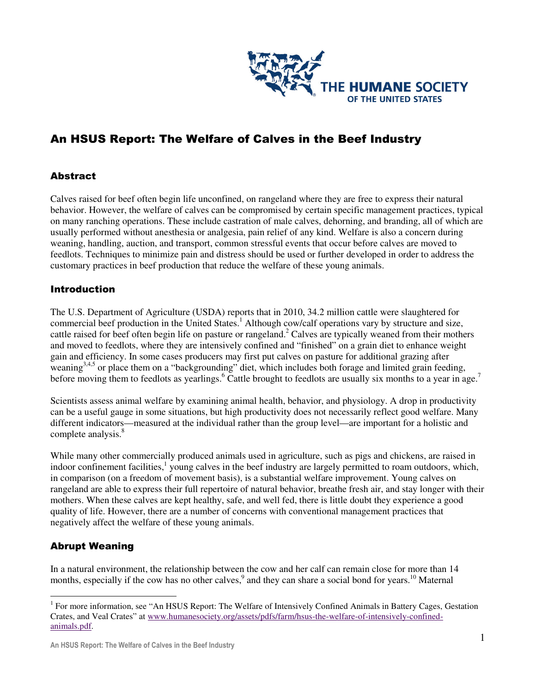

# An HSUS Report: The Welfare of Calves in the Beef Industry

# Abstract

Calves raised for beef often begin life unconfined, on rangeland where they are free to express their natural behavior. However, the welfare of calves can be compromised by certain specific management practices, typical on many ranching operations. These include castration of male calves, dehorning, and branding, all of which are usually performed without anesthesia or analgesia, pain relief of any kind. Welfare is also a concern during weaning, handling, auction, and transport, common stressful events that occur before calves are moved to feedlots. Techniques to minimize pain and distress should be used or further developed in order to address the customary practices in beef production that reduce the welfare of these young animals.

## **Introduction**

The U.S. Department of Agriculture (USDA) reports that in 2010, 34.2 million cattle were slaughtered for commercial beef production in the United States.<sup>1</sup> Although cow/calf operations vary by structure and size, cattle raised for beef often begin life on pasture or rangeland.<sup>2</sup> Calves are typically weaned from their mothers and moved to feedlots, where they are intensively confined and "finished" on a grain diet to enhance weight gain and efficiency. In some cases producers may first put calves on pasture for additional grazing after weaning<sup>3,4,5</sup> or place them on a "backgrounding" diet, which includes both forage and limited grain feeding, before moving them to feedlots as yearlings.<sup>6</sup> Cattle brought to feedlots are usually six months to a year in age.<sup>7</sup>

Scientists assess animal welfare by examining animal health, behavior, and physiology. A drop in productivity can be a useful gauge in some situations, but high productivity does not necessarily reflect good welfare. Many different indicators—measured at the individual rather than the group level—are important for a holistic and complete analysis.<sup>8</sup>

While many other commercially produced animals used in agriculture, such as pigs and chickens, are raised in indoor confinement facilities,<sup>1</sup> young calves in the beef industry are largely permitted to roam outdoors, which, in comparison (on a freedom of movement basis), is a substantial welfare improvement. Young calves on rangeland are able to express their full repertoire of natural behavior, breathe fresh air, and stay longer with their mothers. When these calves are kept healthy, safe, and well fed, there is little doubt they experience a good quality of life. However, there are a number of concerns with conventional management practices that negatively affect the welfare of these young animals.

# Abrupt Weaning

 $\overline{a}$ 

In a natural environment, the relationship between the cow and her calf can remain close for more than 14 months, especially if the cow has no other calves,<sup>9</sup> and they can share a social bond for years.<sup>10</sup> Maternal

<sup>&</sup>lt;sup>1</sup> For more information, see "An HSUS Report: The Welfare of Intensively Confined Animals in Battery Cages, Gestation Crates, and Veal Crates" at www.humanesociety.org/assets/pdfs/farm/hsus-the-welfare-of-intensively-confinedanimals.pdf.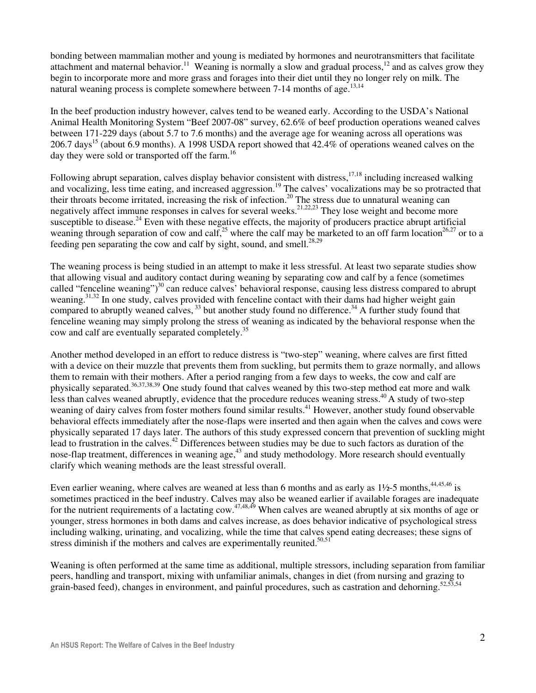bonding between mammalian mother and young is mediated by hormones and neurotransmitters that facilitate attachment and maternal behavior.<sup>11</sup> Weaning is normally a slow and gradual process,<sup>12</sup> and as calves grow they begin to incorporate more and more grass and forages into their diet until they no longer rely on milk. The natural weaning process is complete somewhere between 7-14 months of age.<sup>13,14</sup>

In the beef production industry however, calves tend to be weaned early. According to the USDA's National Animal Health Monitoring System "Beef 2007-08" survey, 62.6% of beef production operations weaned calves between 171-229 days (about 5.7 to 7.6 months) and the average age for weaning across all operations was 206.7 days<sup>15</sup> (about 6.9 months). A 1998 USDA report showed that 42.4% of operations weaned calves on the day they were sold or transported off the farm.<sup>16</sup>

Following abrupt separation, calves display behavior consistent with distress,  $17,18$  including increased walking and vocalizing, less time eating, and increased aggression.<sup>19</sup> The calves' vocalizations may be so protracted that their throats become irritated, increasing the risk of infection.<sup>20</sup> The stress due to unnatural weaning can negatively affect immune responses in calves for several weeks.<sup>21,22,23</sup> They lose weight and become more susceptible to disease.<sup>24</sup> Even with these negative effects, the majority of producers practice abrupt artificial weaning through separation of cow and calf,<sup>25</sup> where the calf may be marketed to an off farm location<sup>26,27</sup> or to a feeding pen separating the cow and calf by sight, sound, and smell.<sup>28,29</sup>

The weaning process is being studied in an attempt to make it less stressful. At least two separate studies show that allowing visual and auditory contact during weaning by separating cow and calf by a fence (sometimes called "fenceline weaning")<sup>30</sup> can reduce calves' behavioral response, causing less distress compared to abrupt weaning.<sup>31,32</sup> In one study, calves provided with fenceline contact with their dams had higher weight gain compared to abruptly weaned calves,  $33$  but another study found no difference.<sup>34</sup> A further study found that fenceline weaning may simply prolong the stress of weaning as indicated by the behavioral response when the cow and calf are eventually separated completely.<sup>35</sup>

Another method developed in an effort to reduce distress is "two-step" weaning, where calves are first fitted with a device on their muzzle that prevents them from suckling, but permits them to graze normally, and allows them to remain with their mothers. After a period ranging from a few days to weeks, the cow and calf are physically separated.<sup>36,37,38,39</sup> One study found that calves weaned by this two-step method eat more and walk less than calves weaned abruptly, evidence that the procedure reduces weaning stress.<sup>40</sup> A study of two-step weaning of dairy calves from foster mothers found similar results.<sup>41</sup> However, another study found observable behavioral effects immediately after the nose-flaps were inserted and then again when the calves and cows were physically separated 17 days later. The authors of this study expressed concern that prevention of suckling might lead to frustration in the calves.<sup>42</sup> Differences between studies may be due to such factors as duration of the nose-flap treatment, differences in weaning age,<sup>43</sup> and study methodology. More research should eventually clarify which weaning methods are the least stressful overall.

Even earlier weaning, where calves are weaned at less than 6 months and as early as  $1\frac{1}{2}$ -5 months,  $44,45,46$  is sometimes practiced in the beef industry. Calves may also be weaned earlier if available forages are inadequate for the nutrient requirements of a lactating cow.<sup>47,48,49</sup> When calves are weaned abruptly at six months of age or younger, stress hormones in both dams and calves increase, as does behavior indicative of psychological stress including walking, urinating, and vocalizing, while the time that calves spend eating decreases; these signs of stress diminish if the mothers and calves are experimentally reunited. $50,51$ 

Weaning is often performed at the same time as additional, multiple stressors, including separation from familiar peers, handling and transport, mixing with unfamiliar animals, changes in diet (from nursing and grazing to grain-based feed), changes in environment, and painful procedures, such as castration and dehorning.<sup>52,53,54</sup>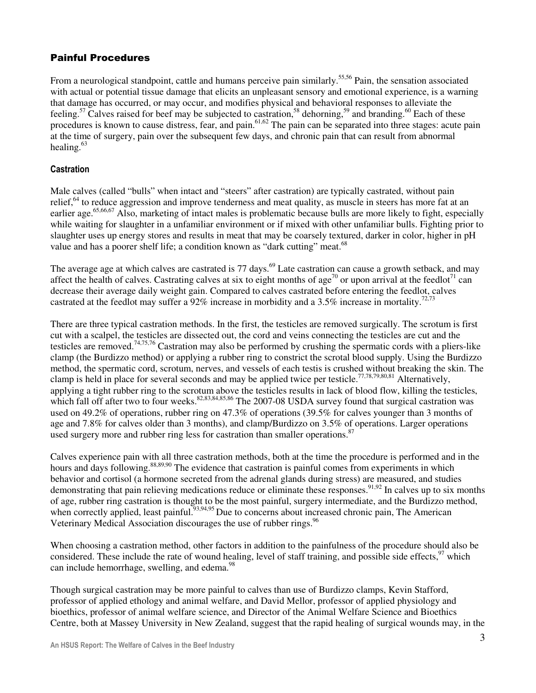# Painful Procedures

From a neurological standpoint, cattle and humans perceive pain similarly.<sup>55,56</sup> Pain, the sensation associated with actual or potential tissue damage that elicits an unpleasant sensory and emotional experience, is a warning that damage has occurred, or may occur, and modifies physical and behavioral responses to alleviate the feeling.<sup>57</sup> Calves raised for beef may be subjected to castration,<sup>58</sup> dehorning,<sup>59</sup> and branding.<sup>60</sup> Each of these procedures is known to cause distress, fear, and pain.<sup>61,62</sup> The pain can be separated into three stages: acute pain at the time of surgery, pain over the subsequent few days, and chronic pain that can result from abnormal healing. $63$ 

#### **Castration**

Male calves (called "bulls" when intact and "steers" after castration) are typically castrated, without pain relief,<sup>64</sup> to reduce aggression and improve tenderness and meat quality, as muscle in steers has more fat at an earlier age.<sup>65,66,67</sup> Also, marketing of intact males is problematic because bulls are more likely to fight, especially while waiting for slaughter in a unfamiliar environment or if mixed with other unfamiliar bulls. Fighting prior to slaughter uses up energy stores and results in meat that may be coarsely textured, darker in color, higher in pH value and has a poorer shelf life; a condition known as "dark cutting" meat.<sup>68</sup>

The average age at which calves are castrated is 77 days.<sup>69</sup> Late castration can cause a growth setback, and may affect the health of calves. Castrating calves at six to eight months of age<sup>70</sup> or upon arrival at the feedlot<sup>71</sup> can decrease their average daily weight gain. Compared to calves castrated before entering the feedlot, calves castrated at the feedlot may suffer a 92% increase in morbidity and a 3.5% increase in mortality.<sup>72,73</sup>

There are three typical castration methods. In the first, the testicles are removed surgically. The scrotum is first cut with a scalpel, the testicles are dissected out, the cord and veins connecting the testicles are cut and the testicles are removed.74,75,76 Castration may also be performed by crushing the spermatic cords with a pliers-like clamp (the Burdizzo method) or applying a rubber ring to constrict the scrotal blood supply. Using the Burdizzo method, the spermatic cord, scrotum, nerves, and vessels of each testis is crushed without breaking the skin. The clamp is held in place for several seconds and may be applied twice per testicle.77,78,79,80,81 Alternatively, applying a tight rubber ring to the scrotum above the testicles results in lack of blood flow, killing the testicles, which fall off after two to four weeks.<sup>82,83,84,85,86</sup> The 2007-08 USDA survey found that surgical castration was used on 49.2% of operations, rubber ring on 47.3% of operations (39.5% for calves younger than 3 months of age and 7.8% for calves older than 3 months), and clamp/Burdizzo on 3.5% of operations. Larger operations used surgery more and rubber ring less for castration than smaller operations.<sup>87</sup>

Calves experience pain with all three castration methods, both at the time the procedure is performed and in the hours and days following.<sup>88,89,90</sup> The evidence that castration is painful comes from experiments in which behavior and cortisol (a hormone secreted from the adrenal glands during stress) are measured, and studies demonstrating that pain relieving medications reduce or eliminate these responses.<sup>91,92</sup> In calves up to six months of age, rubber ring castration is thought to be the most painful, surgery intermediate, and the Burdizzo method, when correctly applied, least painful.<sup>93,94,95</sup> Due to concerns about increased chronic pain, The American Veterinary Medical Association discourages the use of rubber rings.<sup>96</sup>

When choosing a castration method, other factors in addition to the painfulness of the procedure should also be considered. These include the rate of wound healing, level of staff training, and possible side effects,<sup>97</sup> which can include hemorrhage, swelling, and edema.<sup>98</sup>

Though surgical castration may be more painful to calves than use of Burdizzo clamps, Kevin Stafford, professor of applied ethology and animal welfare, and David Mellor, professor of applied physiology and bioethics, professor of animal welfare science, and Director of the Animal Welfare Science and Bioethics Centre, both at Massey University in New Zealand, suggest that the rapid healing of surgical wounds may, in the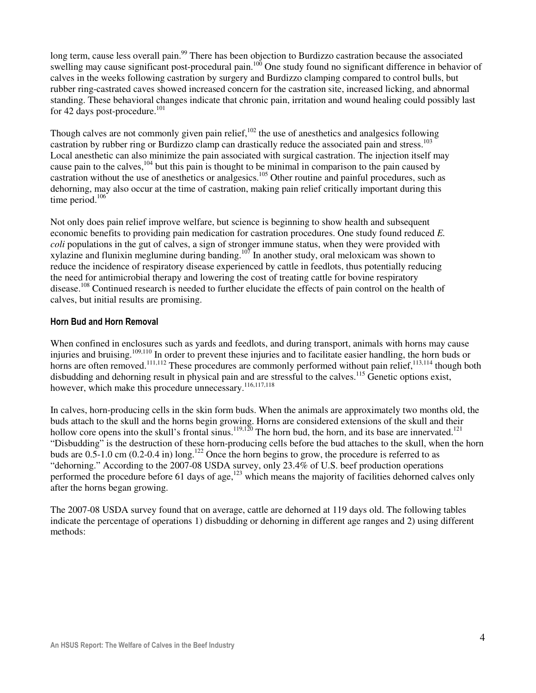long term, cause less overall pain.<sup>99</sup> There has been objection to Burdizzo castration because the associated swelling may cause significant post-procedural pain.<sup>100</sup> One study found no significant difference in behavior of calves in the weeks following castration by surgery and Burdizzo clamping compared to control bulls, but rubber ring-castrated caves showed increased concern for the castration site, increased licking, and abnormal standing. These behavioral changes indicate that chronic pain, irritation and wound healing could possibly last for 42 days post-procedure. $101$ 

Though calves are not commonly given pain relief,<sup>102</sup> the use of anesthetics and analgesics following castration by rubber ring or Burdizzo clamp can drastically reduce the associated pain and stress.<sup>103</sup> Local anesthetic can also minimize the pain associated with surgical castration. The injection itself may cause pain to the calves,<sup>104</sup> but this pain is thought to be minimal in comparison to the pain caused by castration without the use of anesthetics or analgesics.<sup>105</sup> Other routine and painful procedures, such as dehorning, may also occur at the time of castration, making pain relief critically important during this time period.<sup>106</sup>

Not only does pain relief improve welfare, but science is beginning to show health and subsequent economic benefits to providing pain medication for castration procedures. One study found reduced *E. coli* populations in the gut of calves, a sign of stronger immune status, when they were provided with  $x$ ylazine and flunixin meglumine during banding.<sup>107</sup> In another study, oral meloxicam was shown to reduce the incidence of respiratory disease experienced by cattle in feedlots, thus potentially reducing the need for antimicrobial therapy and lowering the cost of treating cattle for bovine respiratory disease.<sup>108</sup> Continued research is needed to further elucidate the effects of pain control on the health of calves, but initial results are promising.

#### Horn Bud and Horn Removal

When confined in enclosures such as yards and feedlots, and during transport, animals with horns may cause injuries and bruising.<sup>109,110</sup> In order to prevent these injuries and to facilitate easier handling, the horn buds or horns are often removed.<sup>111,112</sup> These procedures are commonly performed without pain relief,<sup>113,114</sup> though both disbudding and dehorning result in physical pain and are stressful to the calves.<sup>115</sup> Genetic options exist, however, which make this procedure unnecessary.<sup>116,117,118</sup>

In calves, horn-producing cells in the skin form buds. When the animals are approximately two months old, the buds attach to the skull and the horns begin growing. Horns are considered extensions of the skull and their hollow core opens into the skull's frontal sinus.<sup>119,120</sup> The horn bud, the horn, and its base are innervated.<sup>121</sup> "Disbudding" is the destruction of these horn-producing cells before the bud attaches to the skull, when the horn buds are  $0.5$ -1.0 cm (0.2-0.4 in) long.<sup>122</sup> Once the horn begins to grow, the procedure is referred to as "dehorning." According to the 2007-08 USDA survey, only 23.4% of U.S. beef production operations performed the procedure before 61 days of age, $123$  which means the majority of facilities dehorned calves only after the horns began growing.

The 2007-08 USDA survey found that on average, cattle are dehorned at 119 days old. The following tables indicate the percentage of operations 1) disbudding or dehorning in different age ranges and 2) using different methods: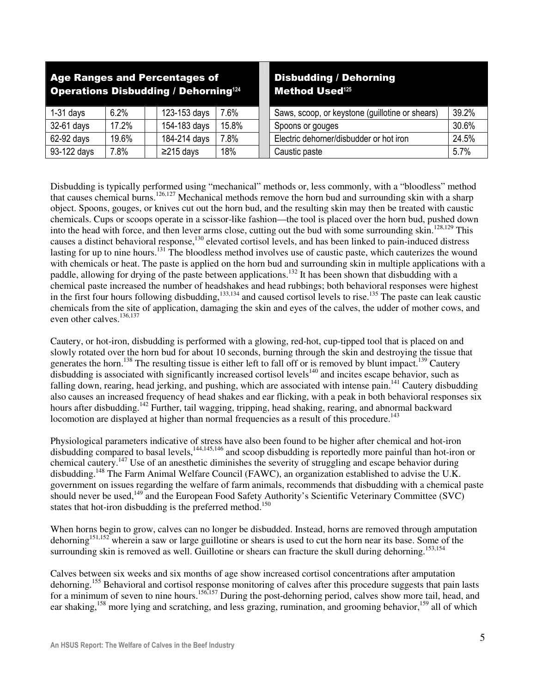| <b>Age Ranges and Percentages of</b><br><b>Operations Disbudding / Dehorning124</b> |       |                 |       | <b>Disbudding / Dehorning</b><br>Method Used <sup>125</sup> |       |
|-------------------------------------------------------------------------------------|-------|-----------------|-------|-------------------------------------------------------------|-------|
| $1-31$ days                                                                         | 6.2%  | 123-153 days    | 7.6%  | Saws, scoop, or keystone (guillotine or shears)             | 39.2% |
| 32-61 days                                                                          | 17.2% | 154-183 days    | 15.8% | Spoons or gouges                                            | 30.6% |
| 62-92 days                                                                          | 19.6% | 184-214 days    | 7.8%  | Electric dehorner/disbudder or hot iron                     | 24.5% |
| 93-122 days                                                                         | 7.8%  | $\geq$ 215 days | 18%   | Caustic paste                                               | 5.7%  |

Disbudding is typically performed using "mechanical" methods or, less commonly, with a "bloodless" method that causes chemical burns.<sup>126,127</sup> Mechanical methods remove the horn bud and surrounding skin with a sharp object. Spoons, gouges, or knives cut out the horn bud, and the resulting skin may then be treated with caustic chemicals. Cups or scoops operate in a scissor-like fashion—the tool is placed over the horn bud, pushed down into the head with force, and then lever arms close, cutting out the bud with some surrounding skin.<sup>128,129</sup> This causes a distinct behavioral response,<sup>130</sup> elevated cortisol levels, and has been linked to pain-induced distress lasting for up to nine hours.<sup>131</sup> The bloodless method involves use of caustic paste, which cauterizes the wound with chemicals or heat. The paste is applied on the horn bud and surrounding skin in multiple applications with a paddle, allowing for drying of the paste between applications.<sup>132</sup> It has been shown that disbudding with a chemical paste increased the number of headshakes and head rubbings; both behavioral responses were highest in the first four hours following disbudding,<sup>133,134</sup> and caused cortisol levels to rise.<sup>135</sup> The paste can leak caustic chemicals from the site of application, damaging the skin and eyes of the calves, the udder of mother cows, and even other calves.<sup>136,137</sup>

Cautery, or hot-iron, disbudding is performed with a glowing, red-hot, cup-tipped tool that is placed on and slowly rotated over the horn bud for about 10 seconds, burning through the skin and destroying the tissue that generates the horn.<sup>138</sup> The resulting tissue is either left to fall off or is removed by blunt impact.<sup>139</sup> Cautery disbudding is associated with significantly increased cortisol levels<sup>140</sup> and incites escape behavior, such as falling down, rearing, head jerking, and pushing, which are associated with intense pain.<sup>141</sup> Cautery disbudding also causes an increased frequency of head shakes and ear flicking, with a peak in both behavioral responses six hours after disbudding.<sup>142</sup> Further, tail wagging, tripping, head shaking, rearing, and abnormal backward locomotion are displayed at higher than normal frequencies as a result of this procedure.<sup>143</sup>

Physiological parameters indicative of stress have also been found to be higher after chemical and hot-iron disbudding compared to basal levels, $144,145,146$  and scoop disbudding is reportedly more painful than hot-iron or chemical cautery.<sup>147</sup> Use of an anesthetic diminishes the severity of struggling and escape behavior during disbudding.<sup>148</sup> The Farm Animal Welfare Council (FAWC), an organization established to advise the U.K. government on issues regarding the welfare of farm animals, recommends that disbudding with a chemical paste should never be used, $^{149}$  and the European Food Safety Authority's Scientific Veterinary Committee (SVC) states that hot-iron disbudding is the preferred method.<sup>150</sup>

When horns begin to grow, calves can no longer be disbudded. Instead, horns are removed through amputation dehorning<sup>151,152</sup> wherein a saw or large guillotine or shears is used to cut the horn near its base. Some of the surrounding skin is removed as well. Guillotine or shears can fracture the skull during dehorning.<sup>153,154</sup>

Calves between six weeks and six months of age show increased cortisol concentrations after amputation dehorning.<sup>155</sup> Behavioral and cortisol response monitoring of calves after this procedure suggests that pain lasts for a minimum of seven to nine hours.<sup>156,157</sup> During the post-dehorning period, calves show more tail, head, and ear shaking,<sup>158</sup> more lying and scratching, and less grazing, rumination, and grooming behavior,<sup>159</sup> all of which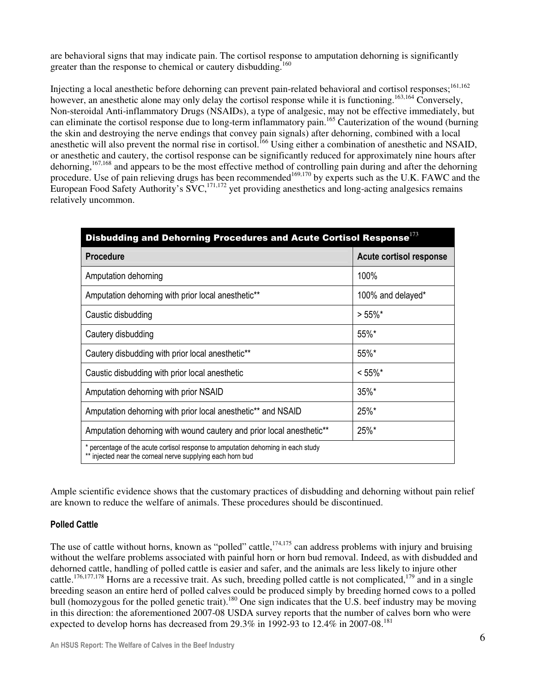are behavioral signs that may indicate pain. The cortisol response to amputation dehorning is significantly greater than the response to chemical or cautery disbudding.<sup>160</sup>

Injecting a local anesthetic before dehorning can prevent pain-related behavioral and cortisol responses;<sup>161,162</sup> however, an anesthetic alone may only delay the cortisol response while it is functioning.<sup>163,164</sup> Conversely, Non-steroidal Anti-inflammatory Drugs (NSAIDs), a type of analgesic, may not be effective immediately, but can eliminate the cortisol response due to long-term inflammatory pain.<sup>165</sup> Cauterization of the wound (burning the skin and destroying the nerve endings that convey pain signals) after dehorning, combined with a local anesthetic will also prevent the normal rise in cortisol.<sup>166</sup> Using either a combination of anesthetic and NSAID, or anesthetic and cautery, the cortisol response can be significantly reduced for approximately nine hours after dehorning,<sup>167,168</sup> and appears to be the most effective method of controlling pain during and after the dehorning procedure. Use of pain relieving drugs has been recommended<sup>169,170</sup> by experts such as the U.K. FAWC and the European Food Safety Authority's SVC,<sup>171,172</sup> yet providing anesthetics and long-acting analgesics remains relatively uncommon.

| Disbudding and Dehorning Procedures and Acute Cortisol Response <sup>173</sup>                                                                  |                         |  |  |  |  |  |
|-------------------------------------------------------------------------------------------------------------------------------------------------|-------------------------|--|--|--|--|--|
| <b>Procedure</b>                                                                                                                                | Acute cortisol response |  |  |  |  |  |
| Amputation dehorning                                                                                                                            | 100%                    |  |  |  |  |  |
| Amputation dehorning with prior local anesthetic**                                                                                              | 100% and delayed*       |  |  |  |  |  |
| Caustic disbudding                                                                                                                              | $> 55\%$ *              |  |  |  |  |  |
| Cautery disbudding                                                                                                                              | 55%*                    |  |  |  |  |  |
| Cautery disbudding with prior local anesthetic**                                                                                                | 55%*                    |  |  |  |  |  |
| Caustic disbudding with prior local anesthetic                                                                                                  | $< 55\%$ *              |  |  |  |  |  |
| Amputation dehorning with prior NSAID                                                                                                           | $35\%$ *                |  |  |  |  |  |
| Amputation dehorning with prior local anesthetic** and NSAID                                                                                    | 25%*                    |  |  |  |  |  |
| Amputation dehorning with wound cautery and prior local anesthetic**                                                                            | 25%*                    |  |  |  |  |  |
| * percentage of the acute cortisol response to amputation dehorning in each study<br>** injected near the corneal nerve supplying each horn bud |                         |  |  |  |  |  |

Ample scientific evidence shows that the customary practices of disbudding and dehorning without pain relief are known to reduce the welfare of animals. These procedures should be discontinued.

## Polled Cattle

The use of cattle without horns, known as "polled" cattle,<sup> $174,175$ </sup> can address problems with injury and bruising without the welfare problems associated with painful horn or horn bud removal. Indeed, as with disbudded and dehorned cattle, handling of polled cattle is easier and safer, and the animals are less likely to injure other cattle.<sup>176,177,178</sup> Horns are a recessive trait. As such, breeding polled cattle is not complicated,<sup>179</sup> and in a single breeding season an entire herd of polled calves could be produced simply by breeding horned cows to a polled bull (homozygous for the polled genetic trait).<sup>180</sup> One sign indicates that the U.S. beef industry may be moving in this direction: the aforementioned 2007-08 USDA survey reports that the number of calves born who were expected to develop horns has decreased from 29.3% in 1992-93 to 12.4% in 2007-08.<sup>181</sup>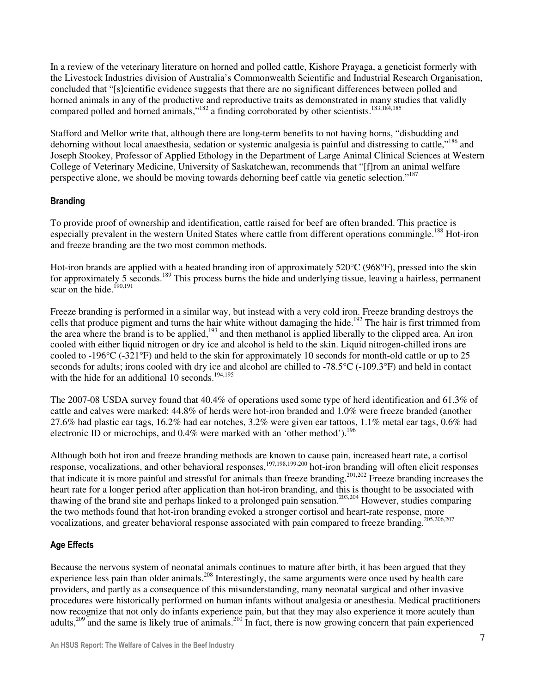In a review of the veterinary literature on horned and polled cattle, Kishore Prayaga, a geneticist formerly with the Livestock Industries division of Australia's Commonwealth Scientific and Industrial Research Organisation, concluded that "[s]cientific evidence suggests that there are no significant differences between polled and horned animals in any of the productive and reproductive traits as demonstrated in many studies that validly compared polled and horned animals,"<sup>182</sup> a finding corroborated by other scientists.<sup>183,184,185</sup>

Stafford and Mellor write that, although there are long-term benefits to not having horns, "disbudding and dehorning without local anaesthesia, sedation or systemic analgesia is painful and distressing to cattle,"<sup>186</sup> and Joseph Stookey, Professor of Applied Ethology in the Department of Large Animal Clinical Sciences at Western College of Veterinary Medicine, University of Saskatchewan, recommends that "[f]rom an animal welfare perspective alone, we should be moving towards dehorning beef cattle via genetic selection."<sup>187</sup>

## Branding

To provide proof of ownership and identification, cattle raised for beef are often branded. This practice is especially prevalent in the western United States where cattle from different operations commingle.<sup>188</sup> Hot-iron and freeze branding are the two most common methods.

Hot-iron brands are applied with a heated branding iron of approximately 520°C (968°F), pressed into the skin for approximately 5 seconds.<sup>189</sup> This process burns the hide and underlying tissue, leaving a hairless, permanent scar on the hide.<sup>190,191</sup>

Freeze branding is performed in a similar way, but instead with a very cold iron. Freeze branding destroys the cells that produce pigment and turns the hair white without damaging the hide.<sup>192</sup> The hair is first trimmed from the area where the brand is to be applied,<sup>193</sup> and then methanol is applied liberally to the clipped area. An iron cooled with either liquid nitrogen or dry ice and alcohol is held to the skin. Liquid nitrogen-chilled irons are cooled to -196°C (-321°F) and held to the skin for approximately 10 seconds for month-old cattle or up to 25 seconds for adults; irons cooled with dry ice and alcohol are chilled to -78.5°C (-109.3°F) and held in contact with the hide for an additional 10 seconds.<sup>194,195</sup>

The 2007-08 USDA survey found that 40.4% of operations used some type of herd identification and 61.3% of cattle and calves were marked: 44.8% of herds were hot-iron branded and 1.0% were freeze branded (another 27.6% had plastic ear tags, 16.2% had ear notches, 3.2% were given ear tattoos, 1.1% metal ear tags, 0.6% had electronic ID or microchips, and  $0.4\%$  were marked with an 'other method').<sup>196</sup>

Although both hot iron and freeze branding methods are known to cause pain, increased heart rate, a cortisol response, vocalizations, and other behavioral responses,<sup>197,198,199,200</sup> hot-iron branding will often elicit responses that indicate it is more painful and stressful for animals than freeze branding.201,202 Freeze branding increases the heart rate for a longer period after application than hot-iron branding, and this is thought to be associated with thawing of the brand site and perhaps linked to a prolonged pain sensation.203,204 However, studies comparing the two methods found that hot-iron branding evoked a stronger cortisol and heart-rate response, more vocalizations, and greater behavioral response associated with pain compared to freeze branding.<sup>205,206,207</sup>

## Age Effects

Because the nervous system of neonatal animals continues to mature after birth, it has been argued that they experience less pain than older animals.<sup>208</sup> Interestingly, the same arguments were once used by health care providers, and partly as a consequence of this misunderstanding, many neonatal surgical and other invasive procedures were historically performed on human infants without analgesia or anesthesia. Medical practitioners now recognize that not only do infants experience pain, but that they may also experience it more acutely than adults,<sup>209</sup> and the same is likely true of animals.<sup>210</sup> In fact, there is now growing concern that pain experienced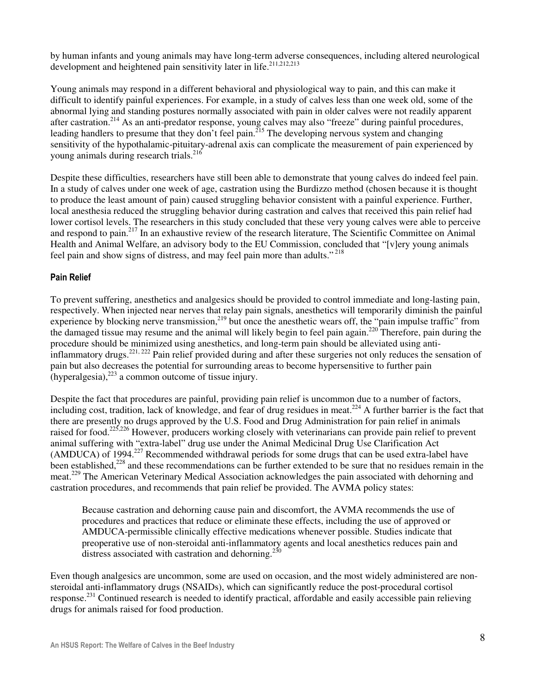by human infants and young animals may have long-term adverse consequences, including altered neurological development and heightened pain sensitivity later in life.<sup>211,212,213</sup>

Young animals may respond in a different behavioral and physiological way to pain, and this can make it difficult to identify painful experiences. For example, in a study of calves less than one week old, some of the abnormal lying and standing postures normally associated with pain in older calves were not readily apparent after castration.<sup>214</sup> As an anti-predator response, young calves may also "freeze" during painful procedures, leading handlers to presume that they don't feel pain.<sup>215</sup> The developing nervous system and changing sensitivity of the hypothalamic-pituitary-adrenal axis can complicate the measurement of pain experienced by young animals during research trials.<sup>216</sup>

Despite these difficulties, researchers have still been able to demonstrate that young calves do indeed feel pain. In a study of calves under one week of age, castration using the Burdizzo method (chosen because it is thought to produce the least amount of pain) caused struggling behavior consistent with a painful experience. Further, local anesthesia reduced the struggling behavior during castration and calves that received this pain relief had lower cortisol levels. The researchers in this study concluded that these very young calves were able to perceive and respond to pain.<sup>217</sup> In an exhaustive review of the research literature, The Scientific Committee on Animal Health and Animal Welfare, an advisory body to the EU Commission, concluded that "[v]ery young animals feel pain and show signs of distress, and may feel pain more than adults."<sup>218</sup>

#### Pain Relief

To prevent suffering, anesthetics and analgesics should be provided to control immediate and long-lasting pain, respectively. When injected near nerves that relay pain signals, anesthetics will temporarily diminish the painful experience by blocking nerve transmission,<sup>219</sup> but once the anesthetic wears off, the "pain impulse traffic" from the damaged tissue may resume and the animal will likely begin to feel pain again.<sup>220</sup> Therefore, pain during the procedure should be minimized using anesthetics, and long-term pain should be alleviated using antiinflammatory drugs.<sup>221, 222</sup> Pain relief provided during and after these surgeries not only reduces the sensation of pain but also decreases the potential for surrounding areas to become hypersensitive to further pain  $(hvperaleesia)$ <sup>223</sup> a common outcome of tissue injury.

Despite the fact that procedures are painful, providing pain relief is uncommon due to a number of factors, including cost, tradition, lack of knowledge, and fear of drug residues in meat.<sup>224</sup> A further barrier is the fact that there are presently no drugs approved by the U.S. Food and Drug Administration for pain relief in animals raised for food.<sup>225,226</sup> However, producers working closely with veterinarians can provide pain relief to prevent animal suffering with "extra-label" drug use under the Animal Medicinal Drug Use Clarification Act (AMDUCA) of 1994.<sup>227</sup> Recommended withdrawal periods for some drugs that can be used extra-label have been established,<sup>228</sup> and these recommendations can be further extended to be sure that no residues remain in the meat.<sup>229</sup> The American Veterinary Medical Association acknowledges the pain associated with dehorning and castration procedures, and recommends that pain relief be provided. The AVMA policy states:

Because castration and dehorning cause pain and discomfort, the AVMA recommends the use of procedures and practices that reduce or eliminate these effects, including the use of approved or AMDUCA-permissible clinically effective medications whenever possible. Studies indicate that preoperative use of non-steroidal anti-inflammatory agents and local anesthetics reduces pain and distress associated with castration and dehorning.<sup>230</sup>

Even though analgesics are uncommon, some are used on occasion, and the most widely administered are nonsteroidal anti-inflammatory drugs (NSAIDs), which can significantly reduce the post-procedural cortisol response.<sup>231</sup> Continued research is needed to identify practical, affordable and easily accessible pain relieving drugs for animals raised for food production.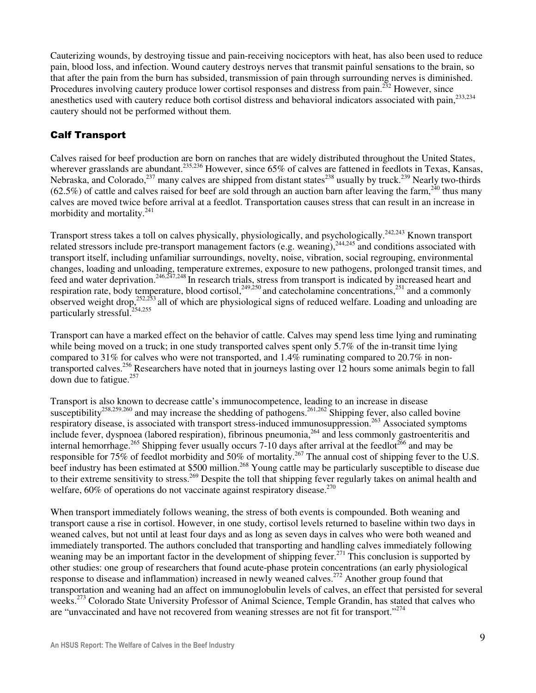Cauterizing wounds, by destroying tissue and pain-receiving nociceptors with heat, has also been used to reduce pain, blood loss, and infection. Wound cautery destroys nerves that transmit painful sensations to the brain, so that after the pain from the burn has subsided, transmission of pain through surrounding nerves is diminished. Procedures involving cautery produce lower cortisol responses and distress from pain.<sup>232</sup> However, since anesthetics used with cautery reduce both cortisol distress and behavioral indicators associated with pain,<sup>233,234</sup> cautery should not be performed without them.

# Calf Transport

Calves raised for beef production are born on ranches that are widely distributed throughout the United States, wherever grasslands are abundant.<sup>235,236</sup> However, since 65% of calves are fattened in feedlots in Texas, Kansas, Nebraska, and Colorado,  $237$  many calves are shipped from distant states  $238$  usually by truck.  $239$  Nearly two-thirds  $(62.5\%)$  of cattle and calves raised for beef are sold through an auction barn after leaving the farm,  $^{240}$  thus many calves are moved twice before arrival at a feedlot. Transportation causes stress that can result in an increase in morbidity and mortality.<sup>241</sup>

Transport stress takes a toll on calves physically, physiologically, and psychologically.<sup>242,243</sup> Known transport related stressors include pre-transport management factors (e.g. weaning), $244,245$  and conditions associated with transport itself, including unfamiliar surroundings, novelty, noise, vibration, social regrouping, environmental changes, loading and unloading, temperature extremes, exposure to new pathogens, prolonged transit times, and feed and water deprivation.<sup>246,247,248</sup> In research trials, stress from transport is indicated by increased heart and respiration rate, body temperature, blood cortisol,  $249,250$  and catecholamine concentrations,  $251$  and a commonly observed weight drop,<sup>252,253</sup> all of which are physiological signs of reduced welfare. Loading and unloading are particularly stressful.<sup>254,255</sup>

Transport can have a marked effect on the behavior of cattle. Calves may spend less time lying and ruminating while being moved on a truck; in one study transported calves spent only 5.7% of the in-transit time lying compared to 31% for calves who were not transported, and 1.4% ruminating compared to 20.7% in nontransported calves.<sup>256</sup> Researchers have noted that in journeys lasting over 12 hours some animals begin to fall down due to fatigue.<sup>257</sup>

Transport is also known to decrease cattle's immunocompetence, leading to an increase in disease susceptibility<sup>258,259,260</sup> and may increase the shedding of pathogens.<sup>261,262</sup> Shipping fever, also called bovine respiratory disease, is associated with transport stress-induced immunosuppression.<sup>263</sup> Associated symptoms include fever, dyspnoea (labored respiration), fibrinous pneumonia,<sup>264</sup> and less commonly gastroenteritis and internal hemorrhage.<sup>265</sup> Shipping fever usually occurs 7-10 days after arrival at the feedlot<sup>266</sup> and may be responsible for 75% of feedlot morbidity and 50% of mortality.<sup>267</sup> The annual cost of shipping fever to the U.S. beef industry has been estimated at \$500 million.<sup>268</sup> Young cattle may be particularly susceptible to disease due to their extreme sensitivity to stress.<sup>269</sup> Despite the toll that shipping fever regularly takes on animal health and welfare, 60% of operations do not vaccinate against respiratory disease.<sup>270</sup>

When transport immediately follows weaning, the stress of both events is compounded. Both weaning and transport cause a rise in cortisol. However, in one study, cortisol levels returned to baseline within two days in weaned calves, but not until at least four days and as long as seven days in calves who were both weaned and immediately transported. The authors concluded that transporting and handling calves immediately following weaning may be an important factor in the development of shipping fever.<sup>271</sup> This conclusion is supported by other studies: one group of researchers that found acute-phase protein concentrations (an early physiological response to disease and inflammation) increased in newly weaned calves.<sup>272</sup> Another group found that transportation and weaning had an affect on immunoglobulin levels of calves, an effect that persisted for several weeks.<sup>273</sup> Colorado State University Professor of Animal Science, Temple Grandin, has stated that calves who are "unvaccinated and have not recovered from weaning stresses are not fit for transport."<sup>274</sup>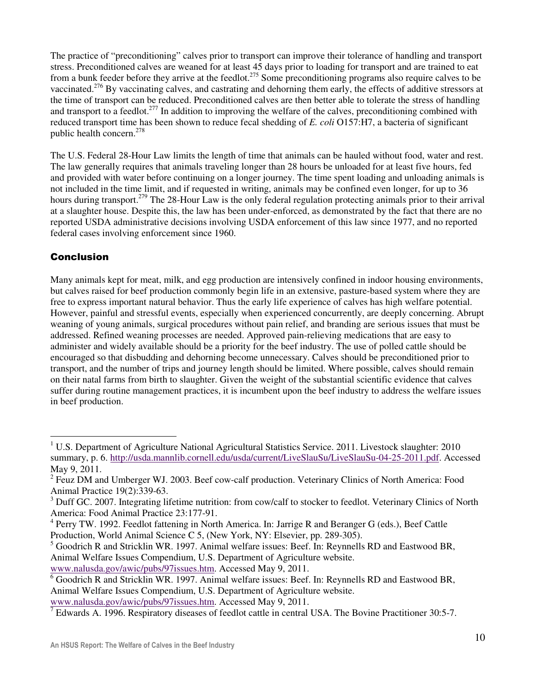The practice of "preconditioning" calves prior to transport can improve their tolerance of handling and transport stress. Preconditioned calves are weaned for at least 45 days prior to loading for transport and are trained to eat from a bunk feeder before they arrive at the feedlot.<sup>275</sup> Some preconditioning programs also require calves to be vaccinated.<sup>276</sup> By vaccinating calves, and castrating and dehorning them early, the effects of additive stressors at the time of transport can be reduced. Preconditioned calves are then better able to tolerate the stress of handling and transport to a feedlot.<sup>277</sup> In addition to improving the welfare of the calves, preconditioning combined with reduced transport time has been shown to reduce fecal shedding of *E. coli* O157:H7, a bacteria of significant public health concern.<sup>278</sup>

The U.S. Federal 28-Hour Law limits the length of time that animals can be hauled without food, water and rest. The law generally requires that animals traveling longer than 28 hours be unloaded for at least five hours, fed and provided with water before continuing on a longer journey. The time spent loading and unloading animals is not included in the time limit, and if requested in writing, animals may be confined even longer, for up to 36 hours during transport.<sup>279</sup> The 28-Hour Law is the only federal regulation protecting animals prior to their arrival at a slaughter house. Despite this, the law has been under-enforced, as demonstrated by the fact that there are no reported USDA administrative decisions involving USDA enforcement of this law since 1977, and no reported federal cases involving enforcement since 1960.

## Conclusion

 $\overline{a}$ 

Many animals kept for meat, milk, and egg production are intensively confined in indoor housing environments, but calves raised for beef production commonly begin life in an extensive, pasture-based system where they are free to express important natural behavior. Thus the early life experience of calves has high welfare potential. However, painful and stressful events, especially when experienced concurrently, are deeply concerning. Abrupt weaning of young animals, surgical procedures without pain relief, and branding are serious issues that must be addressed. Refined weaning processes are needed. Approved pain-relieving medications that are easy to administer and widely available should be a priority for the beef industry. The use of polled cattle should be encouraged so that disbudding and dehorning become unnecessary. Calves should be preconditioned prior to transport, and the number of trips and journey length should be limited. Where possible, calves should remain on their natal farms from birth to slaughter. Given the weight of the substantial scientific evidence that calves suffer during routine management practices, it is incumbent upon the beef industry to address the welfare issues in beef production.

<sup>&</sup>lt;sup>1</sup> U.S. Department of Agriculture National Agricultural Statistics Service. 2011. Livestock slaughter: 2010 summary, p. 6. http://usda.mannlib.cornell.edu/usda/current/LiveSlauSu/LiveSlauSu-04-25-2011.pdf. Accessed May 9, 2011.

<sup>&</sup>lt;sup>2</sup> Feuz DM and Umberger WJ. 2003. Beef cow-calf production. Veterinary Clinics of North America: Food Animal Practice 19(2):339-63.

<sup>&</sup>lt;sup>3</sup> Duff GC. 2007. Integrating lifetime nutrition: from cow/calf to stocker to feedlot. Veterinary Clinics of North America: Food Animal Practice 23:177-91.

<sup>&</sup>lt;sup>4</sup> Perry TW. 1992. Feedlot fattening in North America. In: Jarrige R and Beranger G (eds.), Beef Cattle Production, World Animal Science C 5, (New York, NY: Elsevier, pp. 289-305).

 $<sup>5</sup>$  Goodrich R and Stricklin WR. 1997. Animal welfare issues: Beef. In: Reynnells RD and Eastwood BR,</sup> Animal Welfare Issues Compendium, U.S. Department of Agriculture website. www.nalusda.gov/awic/pubs/97issues.htm. Accessed May 9, 2011.

<sup>&</sup>lt;sup>6</sup> Goodrich R and Stricklin WR. 1997. Animal welfare issues: Beef. In: Reynnells RD and Eastwood BR, Animal Welfare Issues Compendium, U.S. Department of Agriculture website. www.nalusda.gov/awic/pubs/97issues.htm. Accessed May 9, 2011.

 $<sup>7</sup>$  Edwards A. 1996. Respiratory diseases of feedlot cattle in central USA. The Bovine Practitioner 30:5-7.</sup>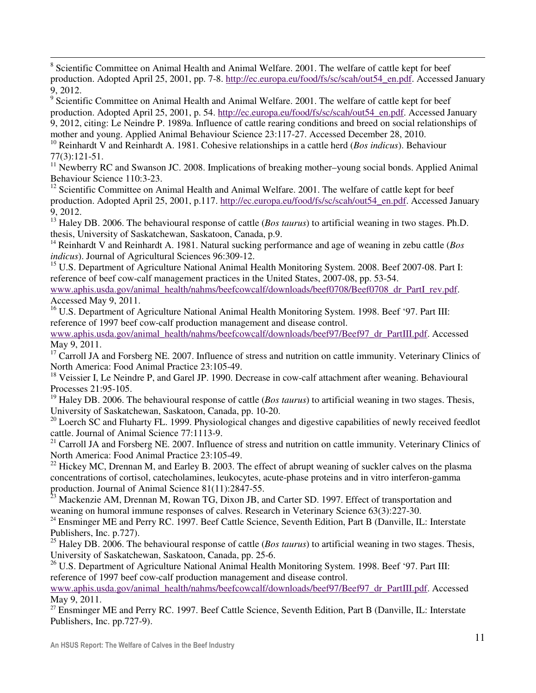$\overline{a}$ <sup>8</sup> Scientific Committee on Animal Health and Animal Welfare. 2001. The welfare of cattle kept for beef production. Adopted April 25, 2001, pp. 7-8. http://ec.europa.eu/food/fs/sc/scah/out54\_en.pdf. Accessed January 9, 2012.

<sup>9</sup> Scientific Committee on Animal Health and Animal Welfare. 2001. The welfare of cattle kept for beef production. Adopted April 25, 2001, p. 54. http://ec.europa.eu/food/fs/sc/scah/out54\_en.pdf. Accessed January 9, 2012, citing: Le Neindre P. 1989a. Influence of cattle rearing conditions and breed on social relationships of mother and young. Applied Animal Behaviour Science 23:117-27. Accessed December 28, 2010. <sup>10</sup> Reinhardt V and Reinhardt A. 1981. Cohesive relationships in a cattle herd (*Bos indicus*). Behaviour 77(3):121-51.

 $11$  Newberry RC and Swanson JC. 2008. Implications of breaking mother–young social bonds. Applied Animal Behaviour Science 110:3-23.

<sup>12</sup> Scientific Committee on Animal Health and Animal Welfare. 2001. The welfare of cattle kept for beef production. Adopted April 25, 2001, p.117. http://ec.europa.eu/food/fs/sc/scah/out54\_en.pdf. Accessed January 9, 2012.

<sup>13</sup> Haley DB. 2006. The behavioural response of cattle (*Bos taurus*) to artificial weaning in two stages. Ph.D. thesis, University of Saskatchewan, Saskatoon, Canada, p.9.

<sup>14</sup> Reinhardt V and Reinhardt A. 1981. Natural sucking performance and age of weaning in zebu cattle (*Bos indicus*). Journal of Agricultural Sciences 96:309-12.

<sup>15</sup> U.S. Department of Agriculture National Animal Health Monitoring System. 2008. Beef 2007-08. Part I: reference of beef cow-calf management practices in the United States, 2007-08, pp. 53-54.

www.aphis.usda.gov/animal\_health/nahms/beefcowcalf/downloads/beef0708/Beef0708\_dr\_PartI\_rev.pdf. Accessed May 9, 2011.

<sup>16</sup> U.S. Department of Agriculture National Animal Health Monitoring System. 1998. Beef '97. Part III: reference of 1997 beef cow-calf production management and disease control.

www.aphis.usda.gov/animal\_health/nahms/beefcowcalf/downloads/beef97/Beef97\_dr\_PartIII.pdf. Accessed May 9, 2011.

 $17$  Carroll JA and Forsberg NE. 2007. Influence of stress and nutrition on cattle immunity. Veterinary Clinics of North America: Food Animal Practice 23:105-49.

<sup>18</sup> Veissier I, Le Neindre P, and Garel JP. 1990. Decrease in cow-calf attachment after weaning. Behavioural Processes 21:95-105.

<sup>19</sup> Haley DB. 2006. The behavioural response of cattle (*Bos taurus*) to artificial weaning in two stages. Thesis, University of Saskatchewan, Saskatoon, Canada, pp. 10-20.

<sup>20</sup> Loerch SC and Fluharty FL. 1999. Physiological changes and digestive capabilities of newly received feedlot cattle. Journal of Animal Science 77:1113-9.

<sup>21</sup> Carroll JA and Forsberg NE. 2007. Influence of stress and nutrition on cattle immunity. Veterinary Clinics of North America: Food Animal Practice 23:105-49.

 $^{22}$  Hickey MC, Drennan M, and Earley B. 2003. The effect of abrupt weaning of suckler calves on the plasma concentrations of cortisol, catecholamines, leukocytes, acute-phase proteins and in vitro interferon-gamma production. Journal of Animal Science 81(11):2847-55.

<sup>23</sup> Mackenzie AM, Drennan M, Rowan TG, Dixon JB, and Carter SD. 1997. Effect of transportation and weaning on humoral immune responses of calves. Research in Veterinary Science 63(3):227-30.

<sup>24</sup> Ensminger ME and Perry RC. 1997. Beef Cattle Science, Seventh Edition, Part B (Danville, IL: Interstate Publishers, Inc. p.727).

<sup>25</sup> Haley DB. 2006. The behavioural response of cattle (*Bos taurus*) to artificial weaning in two stages. Thesis, University of Saskatchewan, Saskatoon, Canada, pp. 25-6.

<sup>26</sup> U.S. Department of Agriculture National Animal Health Monitoring System. 1998. Beef '97. Part III: reference of 1997 beef cow-calf production management and disease control.

www.aphis.usda.gov/animal\_health/nahms/beefcowcalf/downloads/beef97/Beef97\_dr\_PartIII.pdf. Accessed May 9, 2011.

<sup>27</sup> Ensminger ME and Perry RC. 1997. Beef Cattle Science, Seventh Edition, Part B (Danville, IL: Interstate Publishers, Inc. pp.727-9).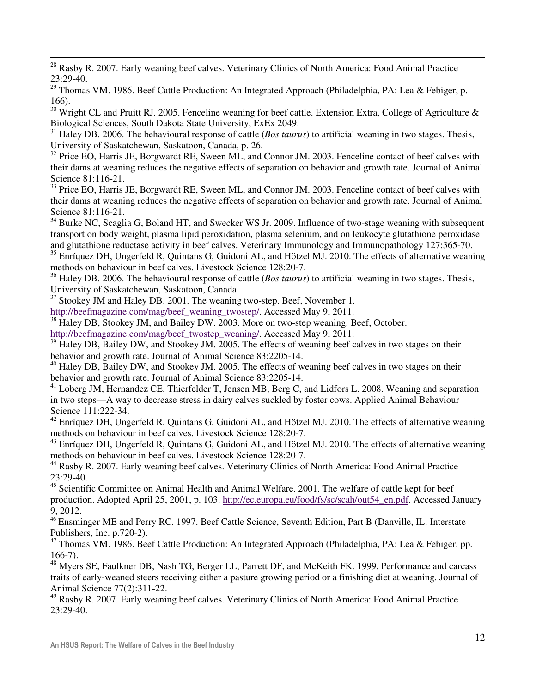$\overline{a}$  $^{28}$  Rasby R. 2007. Early weaning beef calves. Veterinary Clinics of North America: Food Animal Practice  $23.29 - 40$ 

<sup>29</sup> Thomas VM. 1986. Beef Cattle Production: An Integrated Approach (Philadelphia, PA: Lea & Febiger, p. 166).

 $30$  Wright CL and Pruitt RJ. 2005. Fenceline weaning for beef cattle. Extension Extra, College of Agriculture & Biological Sciences, South Dakota State University, ExEx 2049.

<sup>31</sup> Haley DB. 2006. The behavioural response of cattle (*Bos taurus*) to artificial weaning in two stages. Thesis, University of Saskatchewan, Saskatoon, Canada, p. 26.

 $32$  Price EO, Harris JE, Borgwardt RE, Sween ML, and Connor JM. 2003. Fenceline contact of beef calves with their dams at weaning reduces the negative effects of separation on behavior and growth rate. Journal of Animal Science 81:116-21.

<sup>33</sup> Price EO, Harris JE, Borgwardt RE, Sween ML, and Connor JM. 2003. Fenceline contact of beef calves with their dams at weaning reduces the negative effects of separation on behavior and growth rate. Journal of Animal Science 81:116-21.

<sup>34</sup> Burke NC, Scaglia G, Boland HT, and Swecker WS Jr. 2009. Influence of two-stage weaning with subsequent transport on body weight, plasma lipid peroxidation, plasma selenium, and on leukocyte glutathione peroxidase and glutathione reductase activity in beef calves. Veterinary Immunology and Immunopathology 127:365-70.

<sup>35</sup> Enríquez DH, Ungerfeld R, Quintans G, Guidoni AL, and Hötzel MJ. 2010. The effects of alternative weaning methods on behaviour in beef calves. Livestock Science 128:20-7.

<sup>36</sup> Haley DB. 2006. The behavioural response of cattle (*Bos taurus*) to artificial weaning in two stages. Thesis, University of Saskatchewan, Saskatoon, Canada.

 $37$  Stookey JM and Haley DB. 2001. The weaning two-step. Beef, November 1.

http://beefmagazine.com/mag/beef\_weaning\_twostep/. Accessed May 9, 2011.

<sup>38</sup> Haley DB, Stookey JM, and Bailey DW. 2003. More on two-step weaning. Beef, October.

http://beefmagazine.com/mag/beef\_twostep\_weaning/. Accessed May 9, 2011.

<sup>39</sup> Haley DB, Bailey DW, and Stookey JM. 2005. The effects of weaning beef calves in two stages on their behavior and growth rate. Journal of Animal Science 83:2205-14.

<sup>40</sup> Haley DB, Bailey DW, and Stookey JM. 2005. The effects of weaning beef calves in two stages on their behavior and growth rate. Journal of Animal Science 83:2205-14.

 $41$  Loberg JM, Hernandez CE, Thierfelder T, Jensen MB, Berg C, and Lidfors L. 2008. Weaning and separation in two steps—A way to decrease stress in dairy calves suckled by foster cows. Applied Animal Behaviour Science 111:222-34.

 $42$  Enríquez DH, Ungerfeld R, Quintans G, Guidoni AL, and Hötzel MJ. 2010. The effects of alternative weaning methods on behaviour in beef calves. Livestock Science 128:20-7.

<sup>43</sup> Enríquez DH, Ungerfeld R, Quintans G, Guidoni AL, and Hötzel MJ. 2010. The effects of alternative weaning methods on behaviour in beef calves. Livestock Science 128:20-7.

<sup>44</sup> Rasby R. 2007. Early weaning beef calves. Veterinary Clinics of North America: Food Animal Practice 23:29-40.

<sup>45</sup> Scientific Committee on Animal Health and Animal Welfare. 2001. The welfare of cattle kept for beef production. Adopted April 25, 2001, p. 103. http://ec.europa.eu/food/fs/sc/scah/out54\_en.pdf. Accessed January 9, 2012.

<sup>46</sup> Ensminger ME and Perry RC. 1997. Beef Cattle Science, Seventh Edition, Part B (Danville, IL: Interstate Publishers, Inc. p.720-2).

<sup>47</sup> Thomas VM. 1986. Beef Cattle Production: An Integrated Approach (Philadelphia, PA: Lea & Febiger, pp. 166-7).

 $^{48}$  Myers SE, Faulkner DB, Nash TG, Berger LL, Parrett DF, and McKeith FK. 1999. Performance and carcass traits of early-weaned steers receiving either a pasture growing period or a finishing diet at weaning. Journal of Animal Science 77(2):311-22.

<sup>49</sup> Rasby R. 2007. Early weaning beef calves. Veterinary Clinics of North America: Food Animal Practice 23:29-40.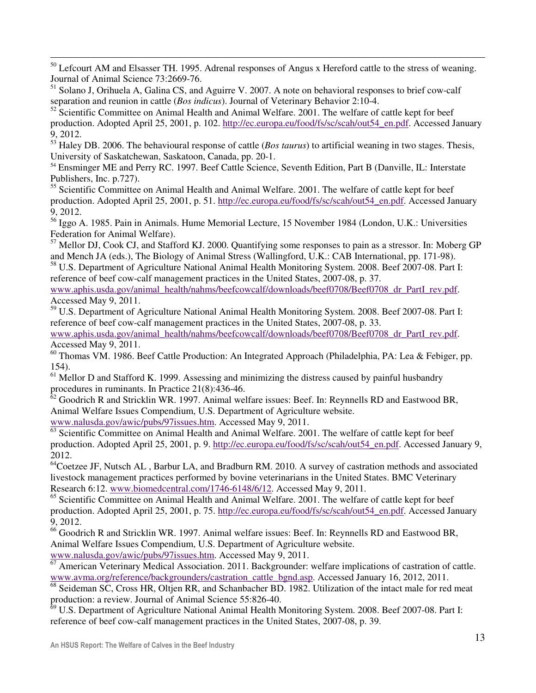<sup>50</sup> Lefcourt AM and Elsasser TH. 1995. Adrenal responses of Angus x Hereford cattle to the stress of weaning. Journal of Animal Science 73:2669-76.

<sup>51</sup> Solano J, Orihuela A, Galina CS, and Aguirre V. 2007. A note on behavioral responses to brief cow-calf separation and reunion in cattle (*Bos indicus*). Journal of Veterinary Behavior 2:10-4.

 $52$  Scientific Committee on Animal Health and Animal Welfare. 2001. The welfare of cattle kept for beef production. Adopted April 25, 2001, p. 102. http://ec.europa.eu/food/fs/sc/scah/out54\_en.pdf. Accessed January 9, 2012.

<sup>53</sup> Haley DB. 2006. The behavioural response of cattle (*Bos taurus*) to artificial weaning in two stages. Thesis, University of Saskatchewan, Saskatoon, Canada, pp. 20-1.

<sup>54</sup> Ensminger ME and Perry RC. 1997. Beef Cattle Science, Seventh Edition, Part B (Danville, IL: Interstate Publishers, Inc. p.727).

<sup>55</sup> Scientific Committee on Animal Health and Animal Welfare. 2001. The welfare of cattle kept for beef production. Adopted April 25, 2001, p. 51. http://ec.europa.eu/food/fs/sc/scah/out54\_en.pdf. Accessed January 9, 2012.

<sup>56</sup> Iggo A. 1985. Pain in Animals. Hume Memorial Lecture, 15 November 1984 (London, U.K.: Universities Federation for Animal Welfare).

<sup>57</sup> Mellor DJ, Cook CJ, and Stafford KJ. 2000. Quantifying some responses to pain as a stressor. In: Moberg GP and Mench JA (eds.), The Biology of Animal Stress (Wallingford, U.K.: CAB International, pp. 171-98).

<sup>58</sup> U.S. Department of Agriculture National Animal Health Monitoring System. 2008. Beef 2007-08. Part I: reference of beef cow-calf management practices in the United States, 2007-08, p. 37.

www.aphis.usda.gov/animal\_health/nahms/beefcowcalf/downloads/beef0708/Beef0708\_dr\_PartI\_rev.pdf. Accessed May 9, 2011.

<sup>59</sup> U.S. Department of Agriculture National Animal Health Monitoring System. 2008. Beef 2007-08. Part I: reference of beef cow-calf management practices in the United States, 2007-08, p. 33.

www.aphis.usda.gov/animal\_health/nahms/beefcowcalf/downloads/beef0708/Beef0708\_dr\_PartI\_rev.pdf. Accessed May 9, 2011.

<sup>60</sup> Thomas VM. 1986. Beef Cattle Production: An Integrated Approach (Philadelphia, PA: Lea & Febiger, pp. 154).

 $<sup>61</sup>$  Mellor D and Stafford K. 1999. Assessing and minimizing the distress caused by painful husbandry</sup> procedures in ruminants. In Practice 21(8):436-46.

 $62$  Goodrich R and Stricklin WR. 1997. Animal welfare issues: Beef. In: Reynnells RD and Eastwood BR, Animal Welfare Issues Compendium, U.S. Department of Agriculture website.

www.nalusda.gov/awic/pubs/97issues.htm. Accessed May 9, 2011.

 $\overline{a}$ 

 $\frac{63}{63}$  Scientific Committee on Animal Health and Animal Welfare. 2001. The welfare of cattle kept for beef production. Adopted April 25, 2001, p. 9. http://ec.europa.eu/food/fs/sc/scah/out54\_en.pdf. Accessed January 9, 2012.

<sup>64</sup>Coetzee JF, Nutsch AL, Barbur LA, and Bradburn RM. 2010. A survey of castration methods and associated livestock management practices performed by bovine veterinarians in the United States. BMC Veterinary Research 6:12. www.biomedcentral.com/1746-6148/6/12. Accessed May 9, 2011.

<sup>65</sup> Scientific Committee on Animal Health and Animal Welfare. 2001. The welfare of cattle kept for beef production. Adopted April 25, 2001, p. 75. http://ec.europa.eu/food/fs/sc/scah/out54\_en.pdf. Accessed January 9, 2012.

<sup>66</sup> Goodrich R and Stricklin WR. 1997. Animal welfare issues: Beef. In: Reynnells RD and Eastwood BR, Animal Welfare Issues Compendium, U.S. Department of Agriculture website. www.nalusda.gov/awic/pubs/97issues.htm. Accessed May 9, 2011.

 $\overline{67}$  American Veterinary Medical Association. 2011. Backgrounder: welfare implications of castration of cattle. www.avma.org/reference/backgrounders/castration\_cattle\_bgnd.asp. Accessed January 16, 2012, 2011.

<sup>68</sup> Seideman SC, Cross HR, Oltjen RR, and Schanbacher BD. 1982. Utilization of the intact male for red meat production: a review. Journal of Animal Science 55:826-40.

 $69$  U.S. Department of Agriculture National Animal Health Monitoring System. 2008. Beef 2007-08. Part I: reference of beef cow-calf management practices in the United States, 2007-08, p. 39.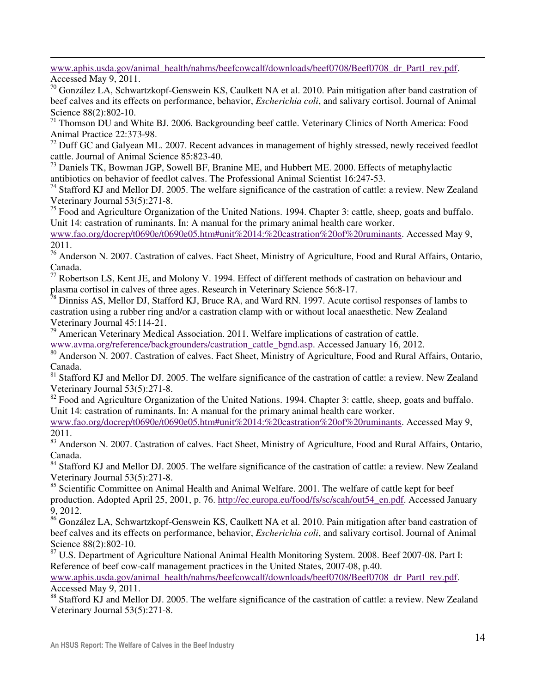$\overline{a}$ www.aphis.usda.gov/animal\_health/nahms/beefcowcalf/downloads/beef0708/Beef0708\_dr\_PartI\_rev.pdf.

Accessed May 9, 2011.

<sup>70</sup> González LA, Schwartzkopf-Genswein KS, Caulkett NA et al. 2010. Pain mitigation after band castration of beef calves and its effects on performance, behavior, *Escherichia coli*, and salivary cortisol. Journal of Animal Science 88(2):802-10.

 $71$  Thomson DU and White BJ. 2006. Backgrounding beef cattle. Veterinary Clinics of North America: Food Animal Practice 22:373-98.

<sup>72</sup> Duff GC and Galyean ML. 2007. Recent advances in management of highly stressed, newly received feedlot cattle. Journal of Animal Science 85:823-40.

<sup>73</sup> Daniels TK, Bowman JGP, Sowell BF, Branine ME, and Hubbert ME. 2000. Effects of metaphylactic antibiotics on behavior of feedlot calves. The Professional Animal Scientist 16:247-53.

<sup>74</sup> Stafford KJ and Mellor DJ. 2005. The welfare significance of the castration of cattle: a review. New Zealand Veterinary Journal 53(5):271-8.

<sup>75</sup> Food and Agriculture Organization of the United Nations. 1994. Chapter 3: cattle, sheep, goats and buffalo. Unit 14: castration of ruminants. In: A manual for the primary animal health care worker.

www.fao.org/docrep/t0690e/t0690e05.htm#unit%2014:%20castration%20of%20ruminants. Accessed May 9, 2011.

<sup>76</sup> Anderson N. 2007. Castration of calves. Fact Sheet, Ministry of Agriculture, Food and Rural Affairs, Ontario, Canada.

<sup>77</sup> Robertson LS, Kent JE, and Molony V. 1994. Effect of different methods of castration on behaviour and plasma cortisol in calves of three ages. Research in Veterinary Science 56:8-17.

 $\frac{1}{28}$  Dinniss AS, Mellor DJ, Stafford KJ, Bruce RA, and Ward RN. 1997. Acute cortisol responses of lambs to castration using a rubber ring and/or a castration clamp with or without local anaesthetic. New Zealand Veterinary Journal 45:114-21.

 $79$  American Veterinary Medical Association. 2011. Welfare implications of castration of cattle.

www.avma.org/reference/backgrounders/castration\_cattle\_bgnd.asp. Accessed January 16, 2012.

80 Anderson N. 2007. Castration of calves. Fact Sheet, Ministry of Agriculture, Food and Rural Affairs, Ontario, Canada.

<sup>81</sup> Stafford KJ and Mellor DJ. 2005. The welfare significance of the castration of cattle: a review. New Zealand Veterinary Journal 53(5):271-8.

<sup>82</sup> Food and Agriculture Organization of the United Nations. 1994. Chapter 3: cattle, sheep, goats and buffalo. Unit 14: castration of ruminants. In: A manual for the primary animal health care worker.

www.fao.org/docrep/t0690e/t0690e05.htm#unit%2014:%20castration%20of%20ruminants. Accessed May 9, 2011.

83 Anderson N. 2007. Castration of calves. Fact Sheet, Ministry of Agriculture, Food and Rural Affairs, Ontario, Canada.

<sup>84</sup> Stafford KJ and Mellor DJ. 2005. The welfare significance of the castration of cattle: a review. New Zealand Veterinary Journal 53(5):271-8.

<sup>85</sup> Scientific Committee on Animal Health and Animal Welfare. 2001. The welfare of cattle kept for beef production. Adopted April 25, 2001, p. 76. http://ec.europa.eu/food/fs/sc/scah/out54\_en.pdf. Accessed January 9, 2012.

86 González LA, Schwartzkopf-Genswein KS, Caulkett NA et al. 2010. Pain mitigation after band castration of beef calves and its effects on performance, behavior, *Escherichia coli*, and salivary cortisol. Journal of Animal Science 88(2):802-10.

<sup>87</sup> U.S. Department of Agriculture National Animal Health Monitoring System. 2008. Beef 2007-08. Part I: Reference of beef cow-calf management practices in the United States, 2007-08, p.40.

www.aphis.usda.gov/animal\_health/nahms/beefcowcalf/downloads/beef0708/Beef0708\_dr\_PartI\_rev.pdf. Accessed May 9, 2011.

<sup>88</sup> Stafford KJ and Mellor DJ. 2005. The welfare significance of the castration of cattle: a review. New Zealand Veterinary Journal 53(5):271-8.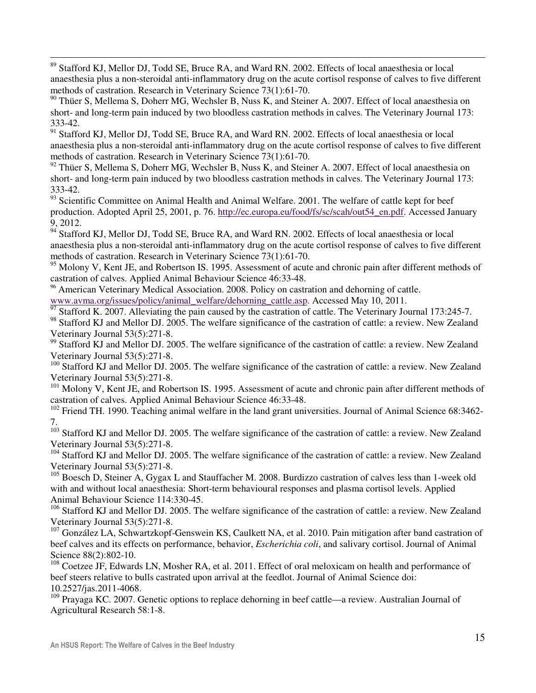<sup>89</sup> Stafford KJ, Mellor DJ, Todd SE, Bruce RA, and Ward RN. 2002. Effects of local anaesthesia or local anaesthesia plus a non-steroidal anti-inflammatory drug on the acute cortisol response of calves to five different methods of castration. Research in Veterinary Science 73(1):61-70.

<sup>90</sup> Thüer S, Mellema S, Doherr MG, Wechsler B, Nuss K, and Steiner A. 2007. Effect of local anaesthesia on short- and long-term pain induced by two bloodless castration methods in calves. The Veterinary Journal 173: 333-42.

91 Stafford KJ, Mellor DJ, Todd SE, Bruce RA, and Ward RN. 2002. Effects of local anaesthesia or local anaesthesia plus a non-steroidal anti-inflammatory drug on the acute cortisol response of calves to five different methods of castration. Research in Veterinary Science 73(1):61-70.

 $92$  Thüer S, Mellema S, Doherr MG, Wechsler B, Nuss K, and Steiner A. 2007. Effect of local anaesthesia on short- and long-term pain induced by two bloodless castration methods in calves. The Veterinary Journal 173: 333-42.

93 Scientific Committee on Animal Health and Animal Welfare. 2001. The welfare of cattle kept for beef production. Adopted April 25, 2001, p. 76. http://ec.europa.eu/food/fs/sc/scah/out54\_en.pdf. Accessed January 9, 2012.

<sup>94</sup> Stafford KJ, Mellor DJ, Todd SE, Bruce RA, and Ward RN. 2002. Effects of local anaesthesia or local anaesthesia plus a non-steroidal anti-inflammatory drug on the acute cortisol response of calves to five different methods of castration. Research in Veterinary Science 73(1):61-70.

<sup>95</sup> Molony V, Kent JE, and Robertson IS. 1995. Assessment of acute and chronic pain after different methods of castration of calves. Applied Animal Behaviour Science 46:33-48.

<sup>96</sup> American Veterinary Medical Association. 2008. Policy on castration and dehorning of cattle. www.avma.org/issues/policy/animal\_welfare/dehorning\_cattle.asp. Accessed May 10, 2011.

Stafford K. 2007. Alleviating the pain caused by the castration of cattle. The Veterinary Journal 173:245-7.

<sup>98</sup> Stafford KJ and Mellor DJ. 2005. The welfare significance of the castration of cattle: a review. New Zealand Veterinary Journal 53(5):271-8.

<sup>99</sup> Stafford KJ and Mellor DJ. 2005. The welfare significance of the castration of cattle: a review. New Zealand Veterinary Journal 53(5):271-8.

<sup>100</sup> Stafford KJ and Mellor DJ. 2005. The welfare significance of the castration of cattle: a review. New Zealand Veterinary Journal 53(5):271-8.

<sup>101</sup> Molony V, Kent JE, and Robertson IS. 1995. Assessment of acute and chronic pain after different methods of castration of calves. Applied Animal Behaviour Science 46:33-48.

<sup>102</sup> Friend TH. 1990. Teaching animal welfare in the land grant universities. Journal of Animal Science 68:3462-7.

<sup>103</sup> Stafford KJ and Mellor DJ. 2005. The welfare significance of the castration of cattle: a review. New Zealand Veterinary Journal 53(5):271-8.

<sup>104</sup> Stafford KJ and Mellor DJ. 2005. The welfare significance of the castration of cattle: a review. New Zealand Veterinary Journal 53(5):271-8.

<sup>105</sup> Boesch D, Steiner A, Gygax L and Stauffacher M. 2008. Burdizzo castration of calves less than 1-week old with and without local anaesthesia: Short-term behavioural responses and plasma cortisol levels. Applied Animal Behaviour Science 114:330-45.

<sup>106</sup> Stafford KJ and Mellor DJ. 2005. The welfare significance of the castration of cattle: a review. New Zealand Veterinary Journal 53(5):271-8.

<sup>107</sup> González LA, Schwartzkopf-Genswein KS, Caulkett NA, et al. 2010. Pain mitigation after band castration of beef calves and its effects on performance, behavior, *Escherichia coli*, and salivary cortisol. Journal of Animal Science 88(2):802-10.

<sup>108</sup> Coetzee JF, Edwards LN, Mosher RA, et al. 2011. Effect of oral meloxicam on health and performance of beef steers relative to bulls castrated upon arrival at the feedlot. Journal of Animal Science doi: 10.2527/jas.2011-4068.

 $109$  Prayaga KC. 2007. Genetic options to replace dehorning in beef cattle—a review. Australian Journal of Agricultural Research 58:1-8.

 $\overline{a}$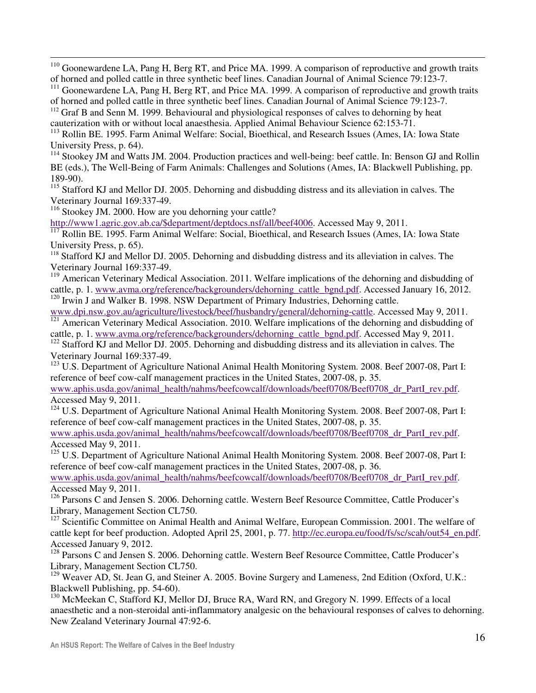$110$  Goonewardene LA, Pang H, Berg RT, and Price MA. 1999. A comparison of reproductive and growth traits of horned and polled cattle in three synthetic beef lines. Canadian Journal of Animal Science 79:123-7.

<sup>111</sup> Goonewardene LA, Pang H, Berg RT, and Price MA. 1999. A comparison of reproductive and growth traits of horned and polled cattle in three synthetic beef lines. Canadian Journal of Animal Science 79:123-7.

<sup>112</sup> Graf B and Senn M. 1999. Behavioural and physiological responses of calves to dehorning by heat

cauterization with or without local anaesthesia. Applied Animal Behaviour Science 62:153-71.

<sup>113</sup> Rollin BE. 1995. Farm Animal Welfare: Social, Bioethical, and Research Issues (Ames, IA: Iowa State University Press, p. 64).

<sup>114</sup> Stookey JM and Watts JM. 2004. Production practices and well-being: beef cattle. In: Benson GJ and Rollin BE (eds.), The Well-Being of Farm Animals: Challenges and Solutions (Ames, IA: Blackwell Publishing, pp. 189-90).

<sup>115</sup> Stafford KJ and Mellor DJ. 2005. Dehorning and disbudding distress and its alleviation in calves. The Veterinary Journal 169:337-49.

<sup>116</sup> Stookey JM. 2000. How are you dehorning your cattle?

http://www1.agric.gov.ab.ca/\$department/deptdocs.nsf/all/beef4006. Accessed May 9, 2011.

<sup>117</sup> Rollin BE. 1995. Farm Animal Welfare: Social, Bioethical, and Research Issues (Ames, IA: Iowa State University Press, p. 65).

<sup>118</sup> Stafford KJ and Mellor DJ. 2005. Dehorning and disbudding distress and its alleviation in calves. The Veterinary Journal 169:337-49.

<sup>119</sup> American Veterinary Medical Association. 2011. Welfare implications of the dehorning and disbudding of cattle, p. 1. www.avma.org/reference/backgrounders/dehorning\_cattle\_bgnd.pdf. Accessed January 16, 2012. <sup>120</sup> Irwin J and Walker B. 1998. NSW Department of Primary Industries, Dehorning cattle.

www.dpi.nsw.gov.au/agriculture/livestock/beef/husbandry/general/dehorning-cattle. Accessed May 9, 2011.

<sup>121</sup> American Veterinary Medical Association. 2010. Welfare implications of the dehorning and disbudding of cattle, p. 1. www.avma.org/reference/backgrounders/dehorning\_cattle\_bgnd.pdf. Accessed May 9, 2011. <sup>122</sup> Stafford KJ and Mellor DJ. 2005. Dehorning and disbudding distress and its alleviation in calves. The

Veterinary Journal 169:337-49.

 $\overline{a}$ 

<sup>123</sup> U.S. Department of Agriculture National Animal Health Monitoring System. 2008. Beef 2007-08, Part I: reference of beef cow-calf management practices in the United States, 2007-08, p. 35.

www.aphis.usda.gov/animal\_health/nahms/beefcowcalf/downloads/beef0708/Beef0708\_dr\_PartI\_rev.pdf. Accessed May 9, 2011.

 $124$  U.S. Department of Agriculture National Animal Health Monitoring System. 2008. Beef 2007-08, Part I: reference of beef cow-calf management practices in the United States, 2007-08, p. 35.

www.aphis.usda.gov/animal\_health/nahms/beefcowcalf/downloads/beef0708/Beef0708\_dr\_PartI\_rev.pdf. Accessed May 9, 2011.

<sup>125</sup> U.S. Department of Agriculture National Animal Health Monitoring System. 2008. Beef 2007-08, Part I: reference of beef cow-calf management practices in the United States, 2007-08, p. 36.

www.aphis.usda.gov/animal\_health/nahms/beefcowcalf/downloads/beef0708/Beef0708\_dr\_PartI\_rev.pdf. Accessed May 9, 2011.

<sup>126</sup> Parsons C and Jensen S. 2006. Dehorning cattle. Western Beef Resource Committee, Cattle Producer's Library, Management Section CL750.

<sup>127</sup> Scientific Committee on Animal Health and Animal Welfare, European Commission. 2001. The welfare of cattle kept for beef production. Adopted April 25, 2001, p. 77. http://ec.europa.eu/food/fs/sc/scah/out54\_en.pdf. Accessed January 9, 2012.

<sup>128</sup> Parsons C and Jensen S. 2006. Dehorning cattle. Western Beef Resource Committee, Cattle Producer's Library, Management Section CL750.

<sup>129</sup> Weaver AD, St. Jean G, and Steiner A. 2005. Bovine Surgery and Lameness, 2nd Edition (Oxford, U.K.: Blackwell Publishing, pp. 54-60).

<sup>130</sup> McMeekan C, Stafford KJ, Mellor DJ, Bruce RA, Ward RN, and Gregory N. 1999. Effects of a local anaesthetic and a non-steroidal anti-inflammatory analgesic on the behavioural responses of calves to dehorning. New Zealand Veterinary Journal 47:92-6.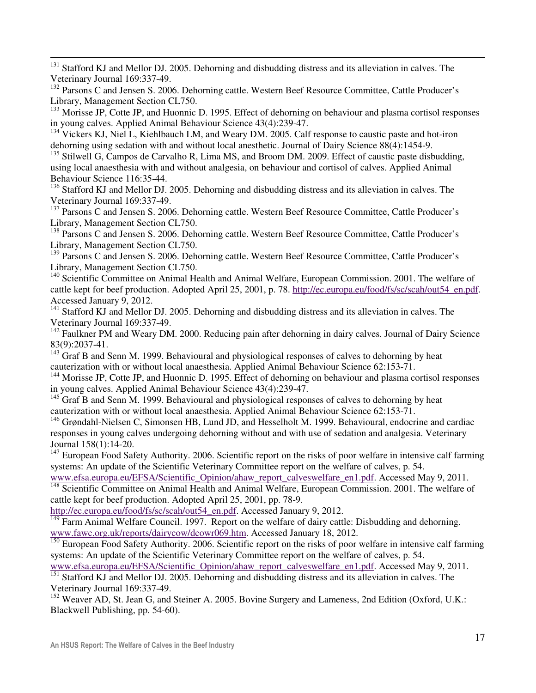$\overline{a}$ <sup>131</sup> Stafford KJ and Mellor DJ. 2005. Dehorning and disbudding distress and its alleviation in calves. The Veterinary Journal 169:337-49.

<sup>132</sup> Parsons C and Jensen S. 2006. Dehorning cattle. Western Beef Resource Committee, Cattle Producer's Library, Management Section CL750.

<sup>133</sup> Morisse JP, Cotte JP, and Huonnic D. 1995. Effect of dehorning on behaviour and plasma cortisol responses in young calves. Applied Animal Behaviour Science 43(4):239-47.

<sup>134</sup> Vickers KJ, Niel L, Kiehlbauch LM, and Weary DM. 2005. Calf response to caustic paste and hot-iron dehorning using sedation with and without local anesthetic. Journal of Dairy Science 88(4):1454-9.

<sup>135</sup> Stilwell G, Campos de Carvalho R, Lima MS, and Broom DM. 2009. Effect of caustic paste disbudding, using local anaesthesia with and without analgesia, on behaviour and cortisol of calves. Applied Animal Behaviour Science 116:35-44.

<sup>136</sup> Stafford KJ and Mellor DJ. 2005. Dehorning and disbudding distress and its alleviation in calves. The Veterinary Journal 169:337-49.

<sup>137</sup> Parsons C and Jensen S. 2006. Dehorning cattle. Western Beef Resource Committee, Cattle Producer's Library, Management Section CL750.

<sup>138</sup> Parsons C and Jensen S. 2006. Dehorning cattle. Western Beef Resource Committee, Cattle Producer's Library, Management Section CL750.

<sup>139</sup> Parsons C and Jensen S. 2006. Dehorning cattle. Western Beef Resource Committee, Cattle Producer's Library, Management Section CL750.

<sup>140</sup> Scientific Committee on Animal Health and Animal Welfare, European Commission. 2001. The welfare of cattle kept for beef production. Adopted April 25, 2001, p. 78. http://ec.europa.eu/food/fs/sc/scah/out54\_en.pdf. Accessed January 9, 2012.

<sup>141</sup> Stafford KJ and Mellor DJ. 2005. Dehorning and disbudding distress and its alleviation in calves. The Veterinary Journal 169:337-49.

<sup>142</sup> Faulkner PM and Weary DM. 2000. Reducing pain after dehorning in dairy calves. Journal of Dairy Science 83(9):2037-41.

<sup>143</sup> Graf B and Senn M. 1999. Behavioural and physiological responses of calves to dehorning by heat cauterization with or without local anaesthesia. Applied Animal Behaviour Science 62:153-71.

<sup>144</sup> Morisse JP, Cotte JP, and Huonnic D. 1995. Effect of dehorning on behaviour and plasma cortisol responses in young calves. Applied Animal Behaviour Science 43(4):239-47.

 $145$  Graf B and Senn M. 1999. Behavioural and physiological responses of calves to dehorning by heat cauterization with or without local anaesthesia. Applied Animal Behaviour Science 62:153-71.

<sup>146</sup> Grøndahl-Nielsen C, Simonsen HB, Lund JD, and Hesselholt M. 1999. Behavioural, endocrine and cardiac responses in young calves undergoing dehorning without and with use of sedation and analgesia. Veterinary Journal 158(1):14-20.

 $147$  European Food Safety Authority. 2006. Scientific report on the risks of poor welfare in intensive calf farming systems: An update of the Scientific Veterinary Committee report on the welfare of calves, p. 54.

www.efsa.europa.eu/EFSA/Scientific\_Opinion/ahaw\_report\_calveswelfare\_en1.pdf. Accessed May 9, 2011. <sup>148</sup> Scientific Committee on Animal Health and Animal Welfare, European Commission. 2001. The welfare of

cattle kept for beef production. Adopted April 25, 2001, pp. 78-9.

http://ec.europa.eu/food/fs/sc/scah/out54\_en.pdf. Accessed January 9, 2012.

 $\frac{149}{149}$  Farm Animal Welfare Council. 1997. Report on the welfare of dairy cattle: Disbudding and dehorning. www.fawc.org.uk/reports/dairycow/dcowr069.htm. Accessed January 18, 2012.

<sup>150</sup> European Food Safety Authority. 2006. Scientific report on the risks of poor welfare in intensive calf farming systems: An update of the Scientific Veterinary Committee report on the welfare of calves, p. 54.

www.efsa.europa.eu/EFSA/Scientific\_Opinion/ahaw\_report\_calveswelfare\_en1.pdf. Accessed May 9, 2011. <sup>151</sup> Stafford KJ and Mellor DJ. 2005. Dehorning and disbudding distress and its alleviation in calves. The

Veterinary Journal 169:337-49.

<sup>152</sup> Weaver AD, St. Jean G, and Steiner A. 2005. Bovine Surgery and Lameness, 2nd Edition (Oxford, U.K.: Blackwell Publishing, pp. 54-60).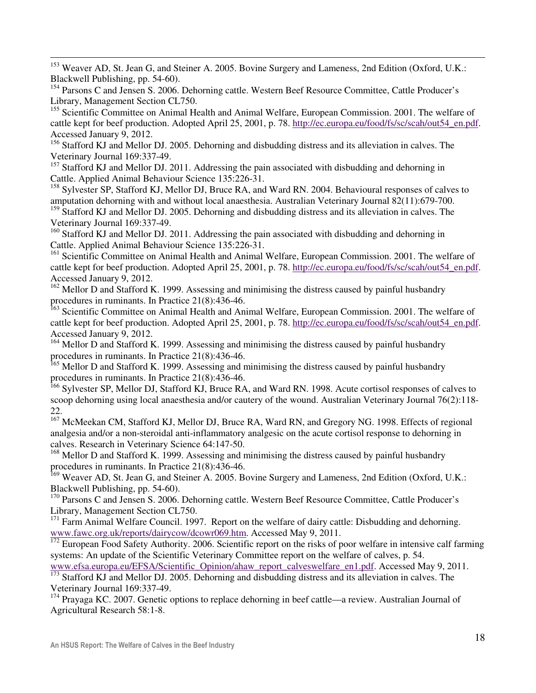$\overline{a}$ <sup>153</sup> Weaver AD, St. Jean G, and Steiner A. 2005. Bovine Surgery and Lameness, 2nd Edition (Oxford, U.K.: Blackwell Publishing, pp. 54-60).

<sup>154</sup> Parsons C and Jensen S. 2006. Dehorning cattle. Western Beef Resource Committee, Cattle Producer's Library, Management Section CL750.

<sup>155</sup> Scientific Committee on Animal Health and Animal Welfare, European Commission. 2001. The welfare of cattle kept for beef production. Adopted April 25, 2001, p. 78. http://ec.europa.eu/food/fs/sc/scah/out54\_en.pdf. Accessed January 9, 2012.

<sup>156</sup> Stafford KJ and Mellor DJ. 2005. Dehorning and disbudding distress and its alleviation in calves. The Veterinary Journal 169:337-49.

 $157$  Stafford KJ and Mellor DJ. 2011. Addressing the pain associated with disbudding and dehorning in Cattle. Applied Animal Behaviour Science 135:226-31.

<sup>158</sup> Sylvester SP, Stafford KJ, Mellor DJ, Bruce RA, and Ward RN. 2004. Behavioural responses of calves to amputation dehorning with and without local anaesthesia. Australian Veterinary Journal 82(11):679-700.

<sup>159</sup> Stafford KJ and Mellor DJ. 2005. Dehorning and disbudding distress and its alleviation in calves. The Veterinary Journal 169:337-49.

<sup>160</sup> Stafford KJ and Mellor DJ. 2011. Addressing the pain associated with disbudding and dehorning in Cattle. Applied Animal Behaviour Science 135:226-31.

<sup>161</sup> Scientific Committee on Animal Health and Animal Welfare, European Commission. 2001. The welfare of cattle kept for beef production. Adopted April 25, 2001, p. 78. http://ec.europa.eu/food/fs/sc/scah/out54\_en.pdf. Accessed January 9, 2012.

<sup>162</sup> Mellor D and Stafford K. 1999. Assessing and minimising the distress caused by painful husbandry procedures in ruminants. In Practice 21(8):436-46.

<sup>163</sup> Scientific Committee on Animal Health and Animal Welfare, European Commission. 2001. The welfare of cattle kept for beef production. Adopted April 25, 2001, p. 78. http://ec.europa.eu/food/fs/sc/scah/out54\_en.pdf. Accessed January 9, 2012.

<sup>164</sup> Mellor D and Stafford K. 1999. Assessing and minimising the distress caused by painful husbandry procedures in ruminants. In Practice 21(8):436-46.

<sup>165</sup> Mellor D and Stafford K. 1999. Assessing and minimising the distress caused by painful husbandry procedures in ruminants. In Practice 21(8):436-46.

<sup>166</sup> Sylvester SP, Mellor DJ, Stafford KJ, Bruce RA, and Ward RN. 1998. Acute cortisol responses of calves to scoop dehorning using local anaesthesia and/or cautery of the wound. Australian Veterinary Journal 76(2):118-22.

<sup>167</sup> McMeekan CM, Stafford KJ, Mellor DJ, Bruce RA, Ward RN, and Gregory NG. 1998. Effects of regional analgesia and/or a non-steroidal anti-inflammatory analgesic on the acute cortisol response to dehorning in calves. Research in Veterinary Science 64:147-50.

<sup>168</sup> Mellor D and Stafford K. 1999. Assessing and minimising the distress caused by painful husbandry procedures in ruminants. In Practice 21(8):436-46.

<sup>169</sup> Weaver AD, St. Jean G, and Steiner A. 2005. Bovine Surgery and Lameness, 2nd Edition (Oxford, U.K.: Blackwell Publishing, pp. 54-60).

<sup>170</sup> Parsons C and Jensen S. 2006. Dehorning cattle. Western Beef Resource Committee, Cattle Producer's Library, Management Section CL750.

<sup>171</sup> Farm Animal Welfare Council. 1997. Report on the welfare of dairy cattle: Disbudding and dehorning. www.fawc.org.uk/reports/dairycow/dcowr069.htm. Accessed May 9, 2011.

<sup>172</sup> European Food Safety Authority. 2006. Scientific report on the risks of poor welfare in intensive calf farming systems: An update of the Scientific Veterinary Committee report on the welfare of calves, p. 54.

www.efsa.europa.eu/EFSA/Scientific\_Opinion/ahaw\_report\_calveswelfare\_en1.pdf. Accessed May 9, 2011. <sup>173</sup> Stafford KJ and Mellor DJ. 2005. Dehorning and disbudding distress and its alleviation in calves. The Veterinary Journal 169:337-49.

<sup>174</sup> Prayaga KC. 2007. Genetic options to replace dehorning in beef cattle—a review. Australian Journal of Agricultural Research 58:1-8.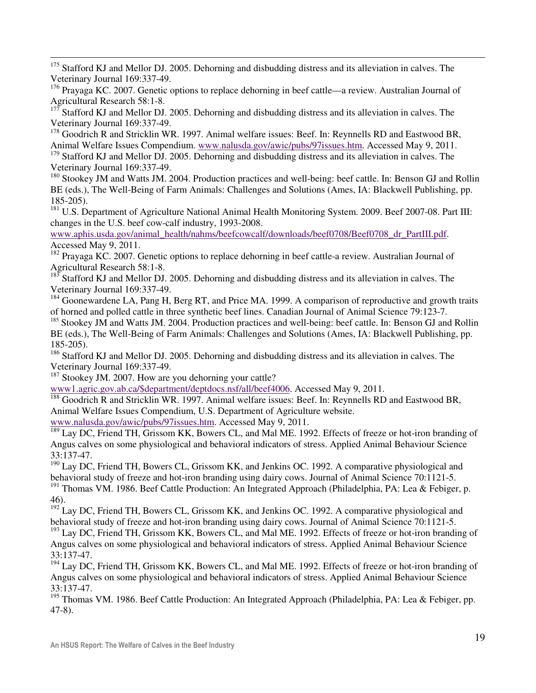$\overline{a}$ <sup>175</sup> Stafford KJ and Mellor DJ. 2005. Dehorning and disbudding distress and its alleviation in calves. The Veterinary Journal 169:337-49.

<sup>176</sup> Prayaga KC. 2007. Genetic options to replace dehorning in beef cattle—a review. Australian Journal of Agricultural Research 58:1-8.

Stafford KJ and Mellor DJ. 2005. Dehorning and disbudding distress and its alleviation in calves. The Veterinary Journal 169:337-49.

<sup>178</sup> Goodrich R and Stricklin WR. 1997. Animal welfare issues: Beef. In: Reynnells RD and Eastwood BR, Animal Welfare Issues Compendium. www.nalusda.gov/awic/pubs/97issues.htm. Accessed May 9, 2011.  $179$  Stafford KJ and Mellor DJ. 2005. Dehorning and disbudding distress and its alleviation in calves. The Veterinary Journal 169:337-49.

<sup>180</sup> Stookey JM and Watts JM. 2004. Production practices and well-being: beef cattle. In: Benson GJ and Rollin BE (eds.), The Well-Being of Farm Animals: Challenges and Solutions (Ames, IA: Blackwell Publishing, pp. 185-205).

<sup>181</sup> U.S. Department of Agriculture National Animal Health Monitoring System. 2009. Beef 2007-08. Part III: changes in the U.S. beef cow-calf industry, 1993-2008.

www.aphis.usda.gov/animal\_health/nahms/beefcowcalf/downloads/beef0708/Beef0708\_dr\_PartIII.pdf. Accessed May 9, 2011.

<sup>182</sup> Prayaga KC. 2007. Genetic options to replace dehorning in beef cattle-a review. Australian Journal of Agricultural Research 58:1-8.

Stafford KJ and Mellor DJ. 2005. Dehorning and disbudding distress and its alleviation in calves. The Veterinary Journal 169:337-49.

<sup>184</sup> Goonewardene LA, Pang H, Berg RT, and Price MA. 1999. A comparison of reproductive and growth traits of horned and polled cattle in three synthetic beef lines. Canadian Journal of Animal Science 79:123-7.

<sup>185</sup> Stookey JM and Watts JM. 2004. Production practices and well-being: beef cattle. In: Benson GJ and Rollin BE (eds.), The Well-Being of Farm Animals: Challenges and Solutions (Ames, IA: Blackwell Publishing, pp. 185-205).

<sup>186</sup> Stafford KJ and Mellor DJ. 2005. Dehorning and disbudding distress and its alleviation in calves. The Veterinary Journal 169:337-49.

<sup>187</sup> Stookey JM. 2007. How are you dehorning your cattle?

www1.agric.gov.ab.ca/\$department/deptdocs.nsf/all/beef4006. Accessed May 9, 2011.

<sup>188</sup> Goodrich R and Stricklin WR. 1997. Animal welfare issues: Beef. In: Reynnells RD and Eastwood BR, Animal Welfare Issues Compendium, U.S. Department of Agriculture website.

www.nalusda.gov/awic/pubs/97issues.htm. Accessed May 9, 2011.

<sup>189</sup> Lay DC, Friend TH, Grissom KK, Bowers CL, and Mal ME. 1992. Effects of freeze or hot-iron branding of Angus calves on some physiological and behavioral indicators of stress. Applied Animal Behaviour Science 33:137-47.

<sup>190</sup> Lay DC, Friend TH, Bowers CL, Grissom KK, and Jenkins OC. 1992. A comparative physiological and behavioral study of freeze and hot-iron branding using dairy cows. Journal of Animal Science 70:1121-5.

<sup>191</sup> Thomas VM. 1986. Beef Cattle Production: An Integrated Approach (Philadelphia, PA: Lea & Febiger, p. 46).

 $192$ <sup>192</sup> Lay DC, Friend TH, Bowers CL, Grissom KK, and Jenkins OC. 1992. A comparative physiological and behavioral study of freeze and hot-iron branding using dairy cows. Journal of Animal Science 70:1121-5.

<sup>193</sup> Lay DC, Friend TH, Grissom KK, Bowers CL, and Mal ME. 1992. Effects of freeze or hot-iron branding of Angus calves on some physiological and behavioral indicators of stress. Applied Animal Behaviour Science 33:137-47.

 $194$  Lay DC, Friend TH, Grissom KK, Bowers CL, and Mal ME. 1992. Effects of freeze or hot-iron branding of Angus calves on some physiological and behavioral indicators of stress. Applied Animal Behaviour Science 33:137-47.

<sup>195</sup> Thomas VM. 1986. Beef Cattle Production: An Integrated Approach (Philadelphia, PA: Lea & Febiger, pp. 47-8).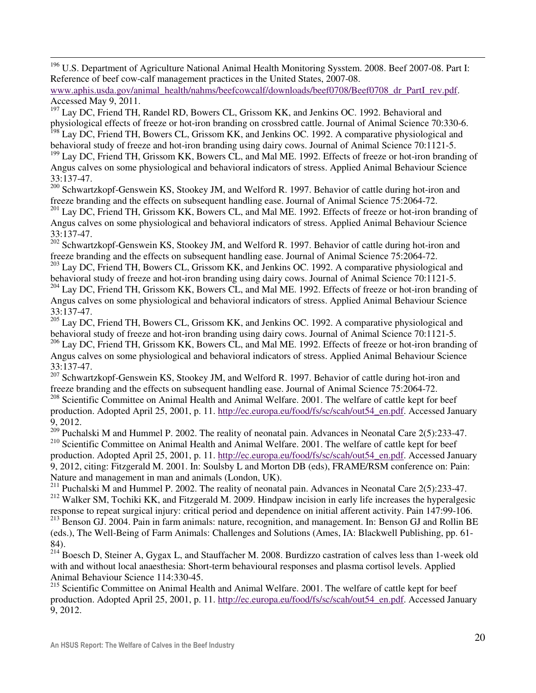<sup>196</sup> U.S. Department of Agriculture National Animal Health Monitoring Sysstem. 2008. Beef 2007-08. Part I: Reference of beef cow-calf management practices in the United States, 2007-08.

www.aphis.usda.gov/animal\_health/nahms/beefcowcalf/downloads/beef0708/Beef0708\_dr\_PartI\_rev.pdf. Accessed May 9, 2011.

<sup>197</sup> Lay DC, Friend TH, Randel RD, Bowers CL, Grissom KK, and Jenkins OC. 1992. Behavioral and physiological effects of freeze or hot-iron branding on crossbred cattle. Journal of Animal Science 70:330-6.

<sup>198</sup> Lay DC, Friend TH, Bowers CL, Grissom KK, and Jenkins OC. 1992. A comparative physiological and behavioral study of freeze and hot-iron branding using dairy cows. Journal of Animal Science 70:1121-5. <sup>199</sup> Lay DC, Friend TH, Grissom KK, Bowers CL, and Mal ME. 1992. Effects of freeze or hot-iron branding of

Angus calves on some physiological and behavioral indicators of stress. Applied Animal Behaviour Science 33:137-47.

<sup>200</sup> Schwartzkopf-Genswein KS, Stookey JM, and Welford R. 1997. Behavior of cattle during hot-iron and freeze branding and the effects on subsequent handling ease. Journal of Animal Science 75:2064-72.

<sup>201</sup> Lay DC, Friend TH, Grissom KK, Bowers CL, and Mal ME. 1992. Effects of freeze or hot-iron branding of Angus calves on some physiological and behavioral indicators of stress. Applied Animal Behaviour Science 33:137-47.

<sup>202</sup> Schwartzkopf-Genswein KS, Stookey JM, and Welford R. 1997. Behavior of cattle during hot-iron and freeze branding and the effects on subsequent handling ease. Journal of Animal Science 75:2064-72.

<sup>203</sup> Lay DC, Friend TH, Bowers CL, Grissom KK, and Jenkins OC. 1992. A comparative physiological and behavioral study of freeze and hot-iron branding using dairy cows. Journal of Animal Science 70:1121-5.

<sup>204</sup> Lay DC, Friend TH, Grissom KK, Bowers CL, and Mal ME. 1992. Effects of freeze or hot-iron branding of Angus calves on some physiological and behavioral indicators of stress. Applied Animal Behaviour Science 33:137-47.

<sup>205</sup> Lay DC, Friend TH, Bowers CL, Grissom KK, and Jenkins OC. 1992. A comparative physiological and behavioral study of freeze and hot-iron branding using dairy cows. Journal of Animal Science 70:1121-5.

<sup>206</sup> Lay DC, Friend TH, Grissom KK, Bowers CL, and Mal ME. 1992. Effects of freeze or hot-iron branding of Angus calves on some physiological and behavioral indicators of stress. Applied Animal Behaviour Science 33:137-47.

<sup>207</sup> Schwartzkopf-Genswein KS, Stookey JM, and Welford R. 1997. Behavior of cattle during hot-iron and freeze branding and the effects on subsequent handling ease. Journal of Animal Science 75:2064-72.

<sup>208</sup> Scientific Committee on Animal Health and Animal Welfare. 2001. The welfare of cattle kept for beef production. Adopted April 25, 2001, p. 11. http://ec.europa.eu/food/fs/sc/scah/out54\_en.pdf. Accessed January 9, 2012.

<sup>209</sup> Puchalski M and Hummel P. 2002. The reality of neonatal pain. Advances in Neonatal Care 2(5):233-47. <sup>210</sup> Scientific Committee on Animal Health and Animal Welfare. 2001. The welfare of cattle kept for beef production. Adopted April 25, 2001, p. 11. http://ec.europa.eu/food/fs/sc/scah/out54\_en.pdf. Accessed January 9, 2012, citing: Fitzgerald M. 2001. In: Soulsby L and Morton DB (eds), FRAME/RSM conference on: Pain: Nature and management in man and animals (London, UK).

<sup>211</sup> Puchalski M and Hummel P. 2002. The reality of neonatal pain. Advances in Neonatal Care  $2(5)$ :233-47. <sup>212</sup> Walker SM, Tochiki KK, and Fitzgerald M. 2009. Hindpaw incision in early life increases the hyperalgesic response to repeat surgical injury: critical period and dependence on initial afferent activity. Pain 147:99-106.

<sup>213</sup> Benson GJ. 2004. Pain in farm animals: nature, recognition, and management. In: Benson GJ and Rollin BE (eds.), The Well-Being of Farm Animals: Challenges and Solutions (Ames, IA: Blackwell Publishing, pp. 61- 84).

 $^{214}$  Boesch D, Steiner A, Gygax L, and Stauffacher M. 2008. Burdizzo castration of calves less than 1-week old with and without local anaesthesia: Short-term behavioural responses and plasma cortisol levels. Applied Animal Behaviour Science 114:330-45.

<sup>215</sup> Scientific Committee on Animal Health and Animal Welfare. 2001. The welfare of cattle kept for beef production. Adopted April 25, 2001, p. 11. http://ec.europa.eu/food/fs/sc/scah/out54\_en.pdf. Accessed January 9, 2012.

 $\overline{a}$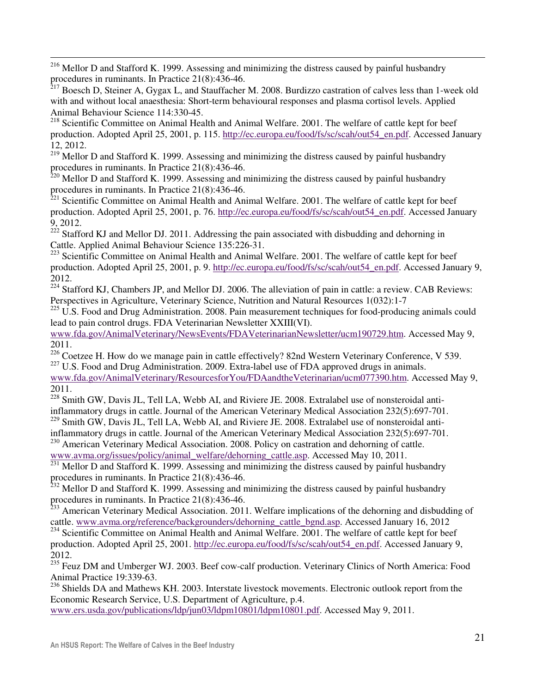$\overline{a}$  $216$  Mellor D and Stafford K. 1999. Assessing and minimizing the distress caused by painful husbandry procedures in ruminants. In Practice 21(8):436-46.

<sup>217</sup> Boesch D, Steiner A, Gygax L, and Stauffacher M. 2008. Burdizzo castration of calves less than 1-week old with and without local anaesthesia: Short-term behavioural responses and plasma cortisol levels. Applied Animal Behaviour Science 114:330-45.

<sup>218</sup> Scientific Committee on Animal Health and Animal Welfare. 2001. The welfare of cattle kept for beef production. Adopted April 25, 2001, p. 115. http://ec.europa.eu/food/fs/sc/scah/out54\_en.pdf. Accessed January 12, 2012.

 $^{219}$  Mellor D and Stafford K. 1999. Assessing and minimizing the distress caused by painful husbandry procedures in ruminants. In Practice 21(8):436-46.

 $220$  Mellor D and Stafford K. 1999. Assessing and minimizing the distress caused by painful husbandry procedures in ruminants. In Practice 21(8):436-46.

<sup>221</sup> Scientific Committee on Animal Health and Animal Welfare. 2001. The welfare of cattle kept for beef production. Adopted April 25, 2001, p. 76. http://ec.europa.eu/food/fs/sc/scah/out54\_en.pdf. Accessed January 9, 2012.

 $222$  Stafford KJ and Mellor DJ. 2011. Addressing the pain associated with disbudding and dehorning in Cattle. Applied Animal Behaviour Science 135:226-31.

<sup>223</sup> Scientific Committee on Animal Health and Animal Welfare. 2001. The welfare of cattle kept for beef production. Adopted April 25, 2001, p. 9. http://ec.europa.eu/food/fs/sc/scah/out54\_en.pdf. Accessed January 9, 2012.

<sup>224</sup> Stafford KJ, Chambers JP, and Mellor DJ. 2006. The alleviation of pain in cattle: a review. CAB Reviews: Perspectives in Agriculture, Veterinary Science, Nutrition and Natural Resources 1(032):1-7

 $225$  U.S. Food and Drug Administration. 2008. Pain measurement techniques for food-producing animals could lead to pain control drugs. FDA Veterinarian Newsletter XXIII(VI).

www.fda.gov/AnimalVeterinary/NewsEvents/FDAVeterinarianNewsletter/ucm190729.htm. Accessed May 9, 2011.

<sup>226</sup> Coetzee H. How do we manage pain in cattle effectively? 82nd Western Veterinary Conference, V 539. <sup>227</sup> U.S. Food and Drug Administration. 2009. Extra-label use of FDA approved drugs in animals.

www.fda.gov/AnimalVeterinary/ResourcesforYou/FDAandtheVeterinarian/ucm077390.htm. Accessed May 9, 2011.

<sup>228</sup> Smith GW, Davis JL, Tell LA, Webb AI, and Riviere JE. 2008. Extralabel use of nonsteroidal antiinflammatory drugs in cattle. Journal of the American Veterinary Medical Association 232(5):697-701.

<sup>229</sup> Smith GW, Davis JL, Tell LA, Webb AI, and Riviere JE. 2008. Extralabel use of nonsteroidal anti-

inflammatory drugs in cattle. Journal of the American Veterinary Medical Association 232(5):697-701. <sup>230</sup> American Veterinary Medical Association. 2008. Policy on castration and dehorning of cattle.

www.avma.org/issues/policy/animal\_welfare/dehorning\_cattle.asp. Accessed May 10, 2011.

 $231$  Mellor D and Stafford K. 1999. Assessing and minimizing the distress caused by painful husbandry procedures in ruminants. In Practice 21(8):436-46.

 $^{232}$  Mellor D and Stafford K. 1999. Assessing and minimizing the distress caused by painful husbandry procedures in ruminants. In Practice 21(8):436-46.

<sup>233</sup> American Veterinary Medical Association. 2011. Welfare implications of the dehorning and disbudding of cattle. www.avma.org/reference/backgrounders/dehorning\_cattle\_bgnd.asp. Accessed January 16, 2012

<sup>234</sup> Scientific Committee on Animal Health and Animal Welfare. 2001. The welfare of cattle kept for beef production. Adopted April 25, 2001. http://ec.europa.eu/food/fs/sc/scah/out54\_en.pdf. Accessed January 9, 2012.

<sup>235</sup> Feuz DM and Umberger WJ. 2003. Beef cow-calf production. Veterinary Clinics of North America: Food Animal Practice 19:339-63.

236 Shields DA and Mathews KH. 2003. Interstate livestock movements. Electronic outlook report from the Economic Research Service, U.S. Department of Agriculture, p.4.

www.ers.usda.gov/publications/ldp/jun03/ldpm10801/ldpm10801.pdf. Accessed May 9, 2011.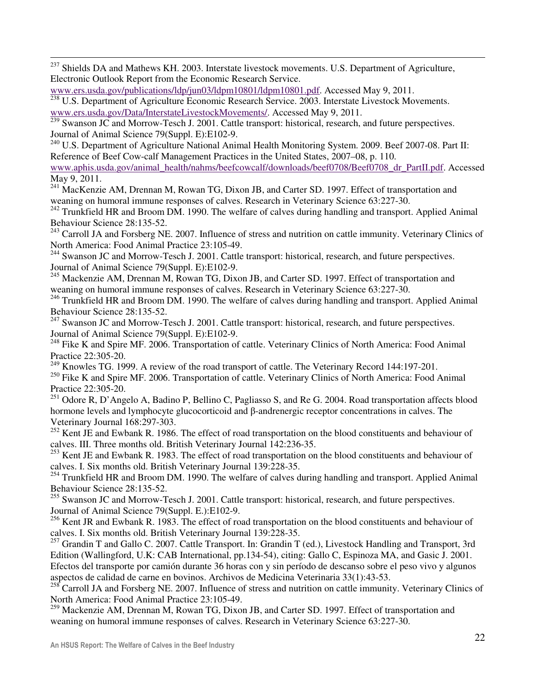<sup>237</sup> Shields DA and Mathews KH. 2003. Interstate livestock movements. U.S. Department of Agriculture, Electronic Outlook Report from the Economic Research Service.

```
www.ers.usda.gov/publications/ldp/jun03/ldpm10801/ldpm10801.pdf. Accessed May 9, 2011.
```
 $\overline{a}$ 

<sup>238</sup> U.S. Department of Agriculture Economic Research Service. 2003. Interstate Livestock Movements. www.ers.usda.gov/Data/InterstateLivestockMovements/. Accessed May 9, 2011.

<sup>239</sup> Swanson JC and Morrow-Tesch J. 2001. Cattle transport: historical, research, and future perspectives. Journal of Animal Science 79(Suppl. E):E102-9.

<sup>240</sup> U.S. Department of Agriculture National Animal Health Monitoring System. 2009. Beef 2007-08. Part II: Reference of Beef Cow-calf Management Practices in the United States, 2007–08, p. 110.

www.aphis.usda.gov/animal\_health/nahms/beefcowcalf/downloads/beef0708/Beef0708\_dr\_PartII.pdf. Accessed May 9, 2011.

<sup>241</sup> MacKenzie AM, Drennan M, Rowan TG, Dixon JB, and Carter SD. 1997. Effect of transportation and weaning on humoral immune responses of calves. Research in Veterinary Science 63:227-30.

 $242$  Trunkfield HR and Broom DM. 1990. The welfare of calves during handling and transport. Applied Animal Behaviour Science 28:135-52.

 $^{243}$  Carroll JA and Forsberg NE. 2007. Influence of stress and nutrition on cattle immunity. Veterinary Clinics of North America: Food Animal Practice 23:105-49.

<sup>244</sup> Swanson JC and Morrow-Tesch J. 2001. Cattle transport: historical, research, and future perspectives. Journal of Animal Science 79(Suppl. E):E102-9.

<sup>245</sup> Mackenzie AM, Drennan M, Rowan TG, Dixon JB, and Carter SD. 1997. Effect of transportation and weaning on humoral immune responses of calves. Research in Veterinary Science 63:227-30.

 $^{246}$  Trunkfield HR and Broom DM. 1990. The welfare of calves during handling and transport. Applied Animal Behaviour Science 28:135-52.

<sup>247</sup> Swanson JC and Morrow-Tesch J. 2001. Cattle transport: historical, research, and future perspectives. Journal of Animal Science 79(Suppl. E):E102-9.

<sup>248</sup> Fike K and Spire MF. 2006. Transportation of cattle. Veterinary Clinics of North America: Food Animal Practice 22:305-20.

 $249$  Knowles TG. 1999. A review of the road transport of cattle. The Veterinary Record 144:197-201.

<sup>250</sup> Fike K and Spire MF. 2006. Transportation of cattle. Veterinary Clinics of North America: Food Animal Practice 22:305-20.

<sup>251</sup> Odore R, D'Angelo A, Badino P, Bellino C, Pagliasso S, and Re G. 2004. Road transportation affects blood hormone levels and lymphocyte glucocorticoid and β-andrenergic receptor concentrations in calves. The Veterinary Journal 168:297-303.

<sup>252</sup> Kent JE and Ewbank R. 1986. The effect of road transportation on the blood constituents and behaviour of calves. III. Three months old. British Veterinary Journal 142:236-35.

<sup>253</sup> Kent JE and Ewbank R. 1983. The effect of road transportation on the blood constituents and behaviour of calves. I. Six months old. British Veterinary Journal 139:228-35.

<sup>254</sup> Trunkfield HR and Broom DM. 1990. The welfare of calves during handling and transport. Applied Animal Behaviour Science 28:135-52.

<sup>255</sup> Swanson JC and Morrow-Tesch J. 2001. Cattle transport: historical, research, and future perspectives. Journal of Animal Science 79(Suppl. E.):E102-9.

<sup>256</sup> Kent JR and Ewbank R. 1983. The effect of road transportation on the blood constituents and behaviour of calves. I. Six months old. British Veterinary Journal 139:228-35.

<sup>257</sup> Grandin T and Gallo C. 2007. Cattle Transport. In: Grandin T (ed.), Livestock Handling and Transport, 3rd Edition (Wallingford, U.K: CAB International, pp.134-54), citing: Gallo C, Espinoza MA, and Gasic J. 2001. Efectos del transporte por camión durante 36 horas con y sin período de descanso sobre el peso vivo y algunos aspectos de calidad de carne en bovinos. Archivos de Medicina Veterinaria 33(1):43-53.

 $258$  Carroll JA and Forsberg NE. 2007. Influence of stress and nutrition on cattle immunity. Veterinary Clinics of North America: Food Animal Practice 23:105-49.

<sup>259</sup> Mackenzie AM, Drennan M, Rowan TG, Dixon JB, and Carter SD. 1997. Effect of transportation and weaning on humoral immune responses of calves. Research in Veterinary Science 63:227-30.